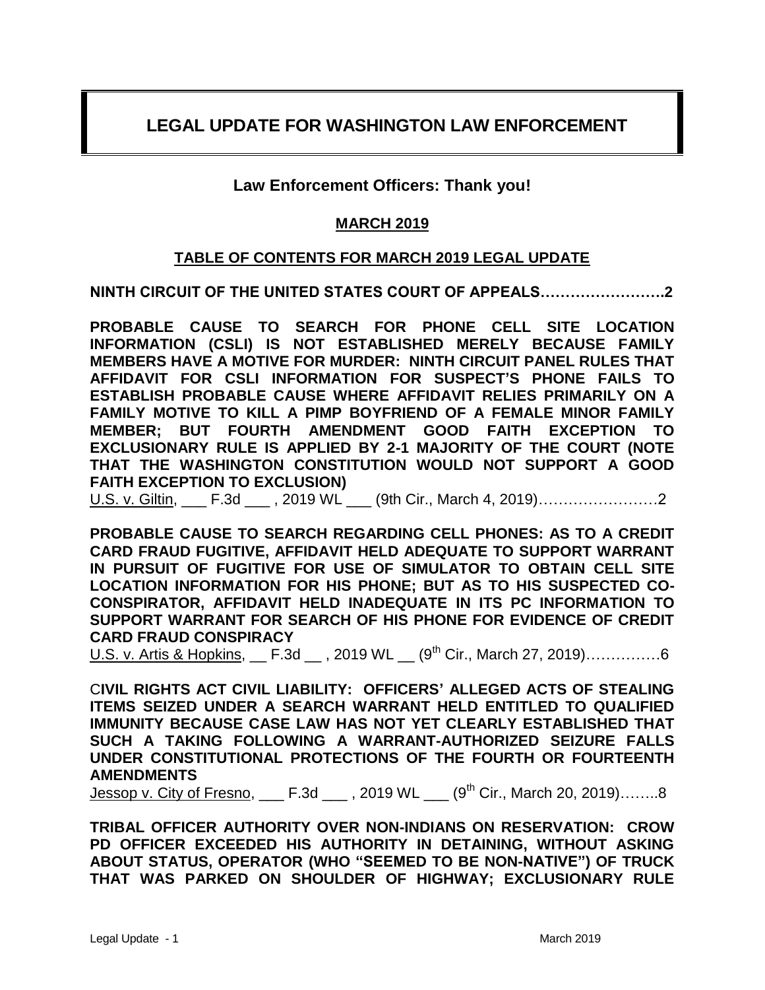# **LEGAL UPDATE FOR WASHINGTON LAW ENFORCEMENT**

## **Law Enforcement Officers: Thank you!**

### **MARCH 2019**

### **TABLE OF CONTENTS FOR MARCH 2019 LEGAL UPDATE**

**NINTH CIRCUIT OF THE UNITED STATES COURT OF APPEALS…………………….2**

**PROBABLE CAUSE TO SEARCH FOR PHONE CELL SITE LOCATION INFORMATION (CSLI) IS NOT ESTABLISHED MERELY BECAUSE FAMILY MEMBERS HAVE A MOTIVE FOR MURDER: NINTH CIRCUIT PANEL RULES THAT AFFIDAVIT FOR CSLI INFORMATION FOR SUSPECT'S PHONE FAILS TO ESTABLISH PROBABLE CAUSE WHERE AFFIDAVIT RELIES PRIMARILY ON A FAMILY MOTIVE TO KILL A PIMP BOYFRIEND OF A FEMALE MINOR FAMILY MEMBER; BUT FOURTH AMENDMENT GOOD FAITH EXCEPTION TO EXCLUSIONARY RULE IS APPLIED BY 2-1 MAJORITY OF THE COURT (NOTE THAT THE WASHINGTON CONSTITUTION WOULD NOT SUPPORT A GOOD FAITH EXCEPTION TO EXCLUSION)**

U.S. v. Giltin, \_\_\_ F.3d \_\_\_ , 2019 WL \_\_\_ (9th Cir., March 4, 2019)……………………2

**PROBABLE CAUSE TO SEARCH REGARDING CELL PHONES: AS TO A CREDIT CARD FRAUD FUGITIVE, AFFIDAVIT HELD ADEQUATE TO SUPPORT WARRANT IN PURSUIT OF FUGITIVE FOR USE OF SIMULATOR TO OBTAIN CELL SITE LOCATION INFORMATION FOR HIS PHONE; BUT AS TO HIS SUSPECTED CO-CONSPIRATOR, AFFIDAVIT HELD INADEQUATE IN ITS PC INFORMATION TO SUPPORT WARRANT FOR SEARCH OF HIS PHONE FOR EVIDENCE OF CREDIT CARD FRAUD CONSPIRACY**

U.S. v. Artis & Hopkins,  $F.3d$ , 2019 WL  $(9<sup>th</sup> Cir., March 27, 2019)$ ……………6

C**IVIL RIGHTS ACT CIVIL LIABILITY: OFFICERS' ALLEGED ACTS OF STEALING ITEMS SEIZED UNDER A SEARCH WARRANT HELD ENTITLED TO QUALIFIED IMMUNITY BECAUSE CASE LAW HAS NOT YET CLEARLY ESTABLISHED THAT SUCH A TAKING FOLLOWING A WARRANT-AUTHORIZED SEIZURE FALLS UNDER CONSTITUTIONAL PROTECTIONS OF THE FOURTH OR FOURTEENTH AMENDMENTS**

Jessop v. City of Fresno,  $F.3d$ , 2019 WL  $(9<sup>th</sup> Cir., March 20, 2019)$ ……..8

**TRIBAL OFFICER AUTHORITY OVER NON-INDIANS ON RESERVATION: CROW PD OFFICER EXCEEDED HIS AUTHORITY IN DETAINING, WITHOUT ASKING ABOUT STATUS, OPERATOR (WHO "SEEMED TO BE NON-NATIVE") OF TRUCK THAT WAS PARKED ON SHOULDER OF HIGHWAY; EXCLUSIONARY RULE**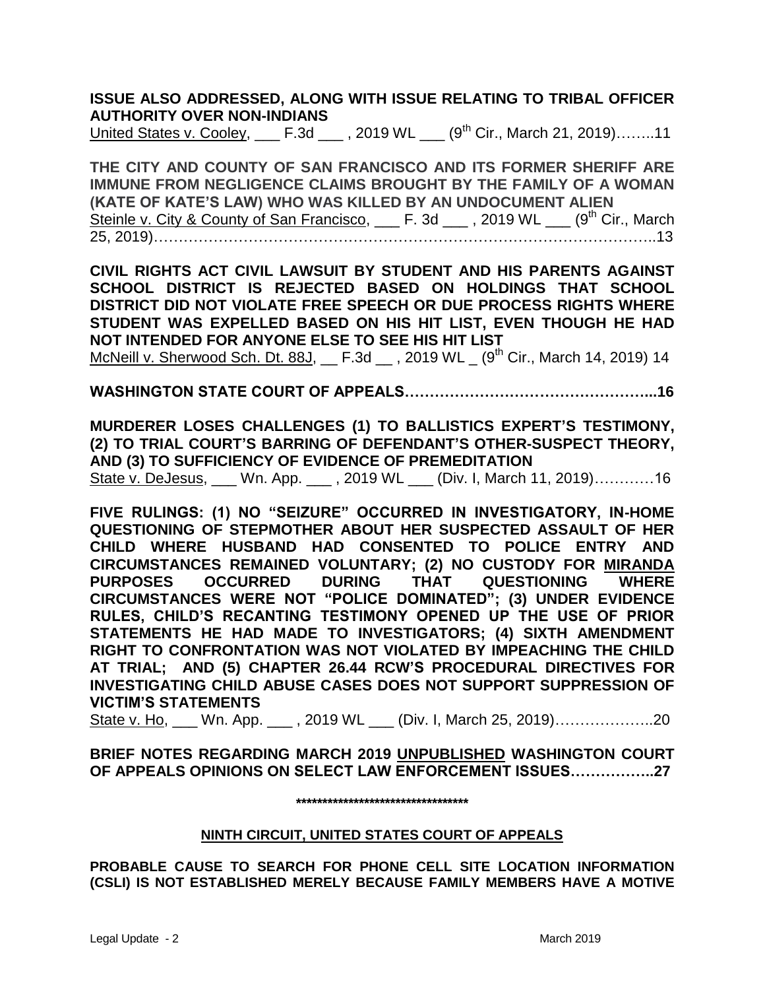**ISSUE ALSO ADDRESSED, ALONG WITH ISSUE RELATING TO TRIBAL OFFICER AUTHORITY OVER NON-INDIANS**

United States v. Cooley, \_\_\_ F.3d \_\_\_, 2019 WL \_\_\_ (9<sup>th</sup> Cir., March 21, 2019)……..11

**THE CITY AND COUNTY OF SAN FRANCISCO AND ITS FORMER SHERIFF ARE IMMUNE FROM NEGLIGENCE CLAIMS BROUGHT BY THE FAMILY OF A WOMAN (KATE OF KATE'S LAW) WHO WAS KILLED BY AN UNDOCUMENT ALIEN** Steinle v. City & County of San Francisco, \_\_\_ F. 3d \_\_\_, 2019 WL \_\_\_ (9<sup>th</sup> Cir., March 25, 2019)………………………………………………………………………………………..13

**CIVIL RIGHTS ACT CIVIL LAWSUIT BY STUDENT AND HIS PARENTS AGAINST SCHOOL DISTRICT IS REJECTED BASED ON HOLDINGS THAT SCHOOL DISTRICT DID NOT VIOLATE FREE SPEECH OR DUE PROCESS RIGHTS WHERE STUDENT WAS EXPELLED BASED ON HIS HIT LIST, EVEN THOUGH HE HAD NOT INTENDED FOR ANYONE ELSE TO SEE HIS HIT LIST**

McNeill v. Sherwood Sch. Dt. 88J,  $F.3d$ , 2019 WL  $(9<sup>th</sup> Cir., March 14, 2019)$  14

**WASHINGTON STATE COURT OF APPEALS…………………………………………...16**

**MURDERER LOSES CHALLENGES (1) TO BALLISTICS EXPERT'S TESTIMONY, (2) TO TRIAL COURT'S BARRING OF DEFENDANT'S OTHER-SUSPECT THEORY, AND (3) TO SUFFICIENCY OF EVIDENCE OF PREMEDITATION**

State v. DeJesus, \_\_\_ Wn. App. \_\_\_ , 2019 WL \_\_\_ (Div. I, March 11, 2019)…………16

**FIVE RULINGS: (1) NO "SEIZURE" OCCURRED IN INVESTIGATORY, IN-HOME QUESTIONING OF STEPMOTHER ABOUT HER SUSPECTED ASSAULT OF HER CHILD WHERE HUSBAND HAD CONSENTED TO POLICE ENTRY AND CIRCUMSTANCES REMAINED VOLUNTARY; (2) NO CUSTODY FOR MIRANDA PURPOSES OCCURRED DURING THAT QUESTIONING WHERE CIRCUMSTANCES WERE NOT "POLICE DOMINATED"; (3) UNDER EVIDENCE RULES, CHILD'S RECANTING TESTIMONY OPENED UP THE USE OF PRIOR STATEMENTS HE HAD MADE TO INVESTIGATORS; (4) SIXTH AMENDMENT RIGHT TO CONFRONTATION WAS NOT VIOLATED BY IMPEACHING THE CHILD AT TRIAL; AND (5) CHAPTER 26.44 RCW'S PROCEDURAL DIRECTIVES FOR INVESTIGATING CHILD ABUSE CASES DOES NOT SUPPORT SUPPRESSION OF VICTIM'S STATEMENTS** 

State v. Ho, \_\_\_ Wn. App. \_\_\_ , 2019 WL \_\_\_ (Div. I, March 25, 2019)………………..20

**BRIEF NOTES REGARDING MARCH 2019 UNPUBLISHED WASHINGTON COURT OF APPEALS OPINIONS ON SELECT LAW ENFORCEMENT ISSUES……………..27**

**\*\*\*\*\*\*\*\*\*\*\*\*\*\*\*\*\*\*\*\*\*\*\*\*\*\*\*\*\*\*\*\*\***

#### **NINTH CIRCUIT, UNITED STATES COURT OF APPEALS**

**PROBABLE CAUSE TO SEARCH FOR PHONE CELL SITE LOCATION INFORMATION (CSLI) IS NOT ESTABLISHED MERELY BECAUSE FAMILY MEMBERS HAVE A MOTIVE**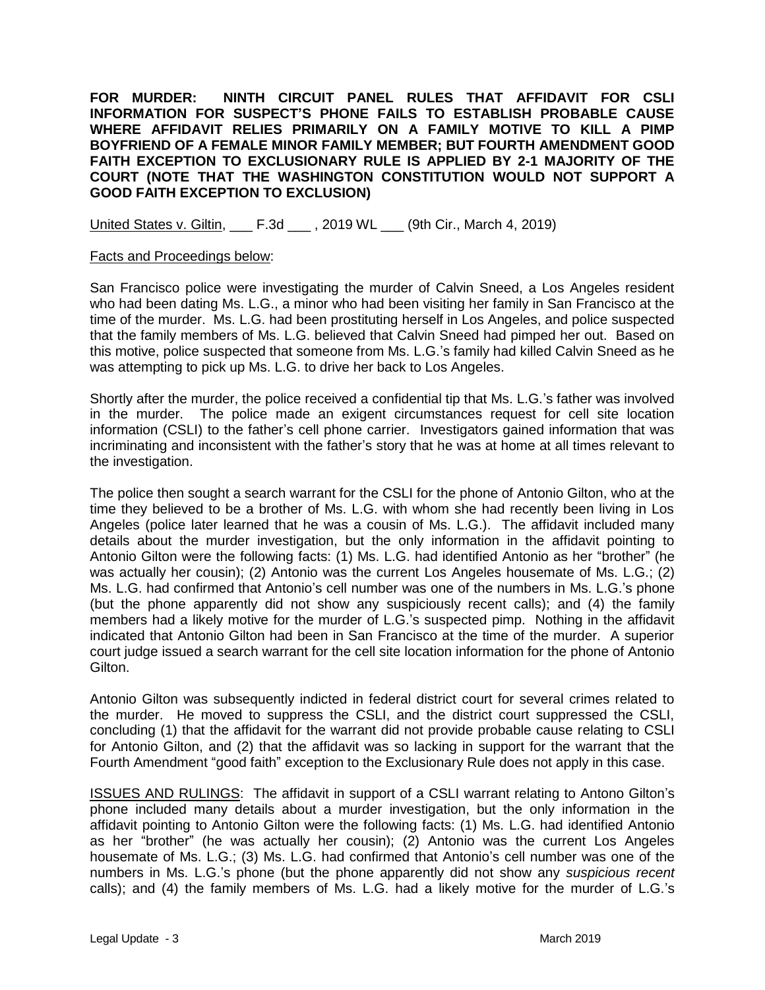**FOR MURDER: NINTH CIRCUIT PANEL RULES THAT AFFIDAVIT FOR CSLI INFORMATION FOR SUSPECT'S PHONE FAILS TO ESTABLISH PROBABLE CAUSE WHERE AFFIDAVIT RELIES PRIMARILY ON A FAMILY MOTIVE TO KILL A PIMP BOYFRIEND OF A FEMALE MINOR FAMILY MEMBER; BUT FOURTH AMENDMENT GOOD FAITH EXCEPTION TO EXCLUSIONARY RULE IS APPLIED BY 2-1 MAJORITY OF THE COURT (NOTE THAT THE WASHINGTON CONSTITUTION WOULD NOT SUPPORT A GOOD FAITH EXCEPTION TO EXCLUSION)**

United States v. Giltin, \_\_\_ F.3d \_\_\_ , 2019 WL \_\_\_ (9th Cir., March 4, 2019)

#### Facts and Proceedings below:

San Francisco police were investigating the murder of Calvin Sneed, a Los Angeles resident who had been dating Ms. L.G., a minor who had been visiting her family in San Francisco at the time of the murder. Ms. L.G. had been prostituting herself in Los Angeles, and police suspected that the family members of Ms. L.G. believed that Calvin Sneed had pimped her out. Based on this motive, police suspected that someone from Ms. L.G.'s family had killed Calvin Sneed as he was attempting to pick up Ms. L.G. to drive her back to Los Angeles.

Shortly after the murder, the police received a confidential tip that Ms. L.G.'s father was involved in the murder. The police made an exigent circumstances request for cell site location information (CSLI) to the father's cell phone carrier. Investigators gained information that was incriminating and inconsistent with the father's story that he was at home at all times relevant to the investigation.

The police then sought a search warrant for the CSLI for the phone of Antonio Gilton, who at the time they believed to be a brother of Ms. L.G. with whom she had recently been living in Los Angeles (police later learned that he was a cousin of Ms. L.G.). The affidavit included many details about the murder investigation, but the only information in the affidavit pointing to Antonio Gilton were the following facts: (1) Ms. L.G. had identified Antonio as her "brother" (he was actually her cousin); (2) Antonio was the current Los Angeles housemate of Ms. L.G.; (2) Ms. L.G. had confirmed that Antonio's cell number was one of the numbers in Ms. L.G.'s phone (but the phone apparently did not show any suspiciously recent calls); and (4) the family members had a likely motive for the murder of L.G.'s suspected pimp. Nothing in the affidavit indicated that Antonio Gilton had been in San Francisco at the time of the murder. A superior court judge issued a search warrant for the cell site location information for the phone of Antonio Gilton.

Antonio Gilton was subsequently indicted in federal district court for several crimes related to the murder. He moved to suppress the CSLI, and the district court suppressed the CSLI, concluding (1) that the affidavit for the warrant did not provide probable cause relating to CSLI for Antonio Gilton, and (2) that the affidavit was so lacking in support for the warrant that the Fourth Amendment "good faith" exception to the Exclusionary Rule does not apply in this case.

ISSUES AND RULINGS: The affidavit in support of a CSLI warrant relating to Antono Gilton's phone included many details about a murder investigation, but the only information in the affidavit pointing to Antonio Gilton were the following facts: (1) Ms. L.G. had identified Antonio as her "brother" (he was actually her cousin); (2) Antonio was the current Los Angeles housemate of Ms. L.G.; (3) Ms. L.G. had confirmed that Antonio's cell number was one of the numbers in Ms. L.G.'s phone (but the phone apparently did not show any *suspicious recent* calls); and (4) the family members of Ms. L.G. had a likely motive for the murder of L.G.'s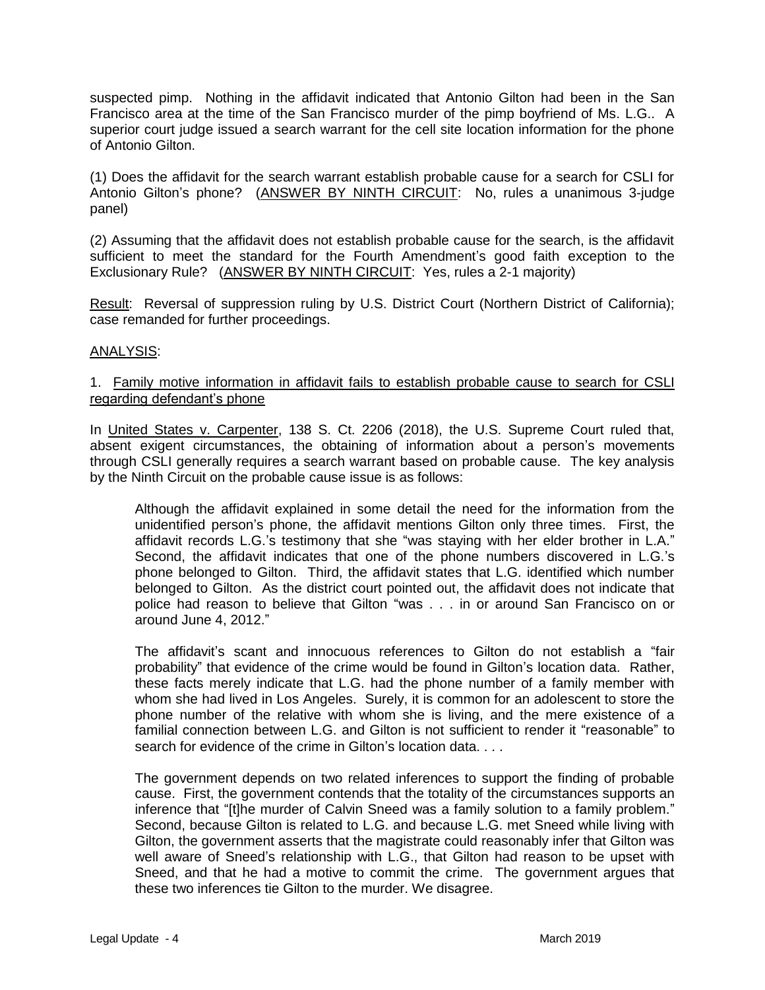suspected pimp. Nothing in the affidavit indicated that Antonio Gilton had been in the San Francisco area at the time of the San Francisco murder of the pimp boyfriend of Ms. L.G.. A superior court judge issued a search warrant for the cell site location information for the phone of Antonio Gilton.

(1) Does the affidavit for the search warrant establish probable cause for a search for CSLI for Antonio Gilton's phone? (ANSWER BY NINTH CIRCUIT: No, rules a unanimous 3-judge panel)

(2) Assuming that the affidavit does not establish probable cause for the search, is the affidavit sufficient to meet the standard for the Fourth Amendment's good faith exception to the Exclusionary Rule? (ANSWER BY NINTH CIRCUIT: Yes, rules a 2-1 majority)

Result: Reversal of suppression ruling by U.S. District Court (Northern District of California); case remanded for further proceedings.

### ANALYSIS:

### 1. Family motive information in affidavit fails to establish probable cause to search for CSLI regarding defendant's phone

In United States v. Carpenter, 138 S. Ct. 2206 (2018), the U.S. Supreme Court ruled that, absent exigent circumstances, the obtaining of information about a person's movements through CSLI generally requires a search warrant based on probable cause. The key analysis by the Ninth Circuit on the probable cause issue is as follows:

Although the affidavit explained in some detail the need for the information from the unidentified person's phone, the affidavit mentions Gilton only three times. First, the affidavit records L.G.'s testimony that she "was staying with her elder brother in L.A." Second, the affidavit indicates that one of the phone numbers discovered in L.G.'s phone belonged to Gilton. Third, the affidavit states that L.G. identified which number belonged to Gilton. As the district court pointed out, the affidavit does not indicate that police had reason to believe that Gilton "was . . . in or around San Francisco on or around June 4, 2012."

The affidavit's scant and innocuous references to Gilton do not establish a "fair probability" that evidence of the crime would be found in Gilton's location data. Rather, these facts merely indicate that L.G. had the phone number of a family member with whom she had lived in Los Angeles. Surely, it is common for an adolescent to store the phone number of the relative with whom she is living, and the mere existence of a familial connection between L.G. and Gilton is not sufficient to render it "reasonable" to search for evidence of the crime in Gilton's location data....

The government depends on two related inferences to support the finding of probable cause. First, the government contends that the totality of the circumstances supports an inference that "[t]he murder of Calvin Sneed was a family solution to a family problem." Second, because Gilton is related to L.G. and because L.G. met Sneed while living with Gilton, the government asserts that the magistrate could reasonably infer that Gilton was well aware of Sneed's relationship with L.G., that Gilton had reason to be upset with Sneed, and that he had a motive to commit the crime. The government argues that these two inferences tie Gilton to the murder. We disagree.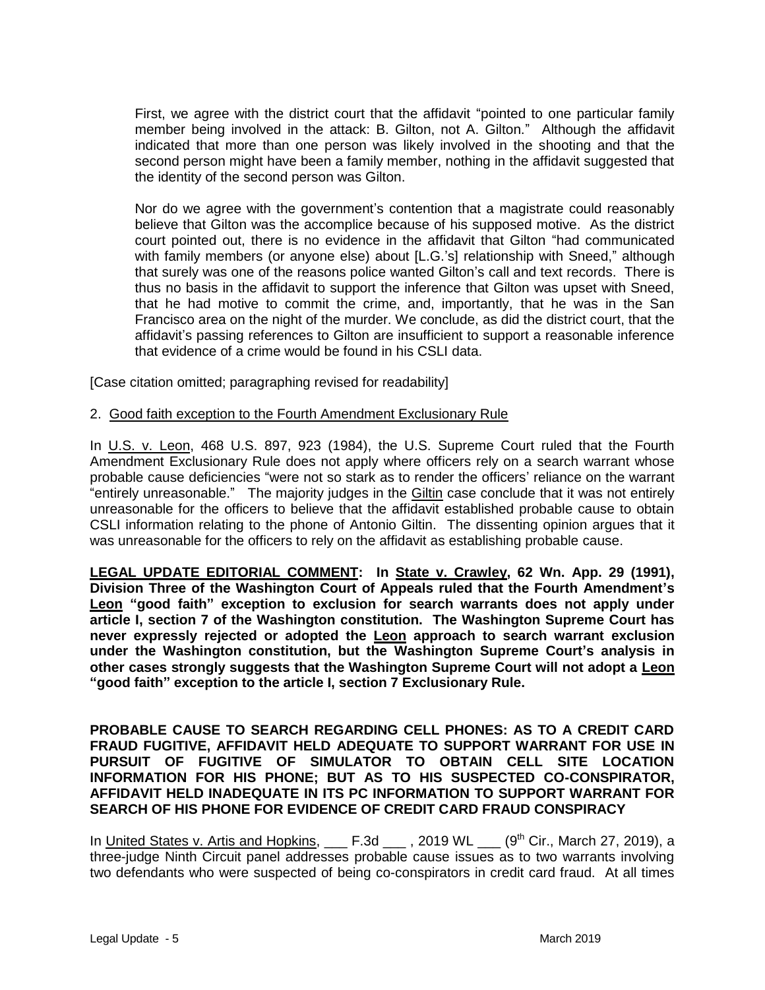First, we agree with the district court that the affidavit "pointed to one particular family member being involved in the attack: B. Gilton, not A. Gilton." Although the affidavit indicated that more than one person was likely involved in the shooting and that the second person might have been a family member, nothing in the affidavit suggested that the identity of the second person was Gilton.

Nor do we agree with the government's contention that a magistrate could reasonably believe that Gilton was the accomplice because of his supposed motive. As the district court pointed out, there is no evidence in the affidavit that Gilton "had communicated with family members (or anyone else) about [L.G.'s] relationship with Sneed," although that surely was one of the reasons police wanted Gilton's call and text records. There is thus no basis in the affidavit to support the inference that Gilton was upset with Sneed, that he had motive to commit the crime, and, importantly, that he was in the San Francisco area on the night of the murder. We conclude, as did the district court, that the affidavit's passing references to Gilton are insufficient to support a reasonable inference that evidence of a crime would be found in his CSLI data.

[Case citation omitted; paragraphing revised for readability]

### 2. Good faith exception to the Fourth Amendment Exclusionary Rule

In U.S. v. Leon, 468 U.S. 897, 923 (1984), the U.S. Supreme Court ruled that the Fourth Amendment Exclusionary Rule does not apply where officers rely on a search warrant whose probable cause deficiencies "were not so stark as to render the officers' reliance on the warrant "entirely unreasonable." The majority judges in the Giltin case conclude that it was not entirely unreasonable for the officers to believe that the affidavit established probable cause to obtain CSLI information relating to the phone of Antonio Giltin. The dissenting opinion argues that it was unreasonable for the officers to rely on the affidavit as establishing probable cause.

**LEGAL UPDATE EDITORIAL COMMENT: In State v. Crawley, 62 Wn. App. 29 (1991), Division Three of the Washington Court of Appeals ruled that the Fourth Amendment's Leon "good faith" exception to exclusion for search warrants does not apply under article I, section 7 of the Washington constitution. The Washington Supreme Court has never expressly rejected or adopted the Leon approach to search warrant exclusion under the Washington constitution, but the Washington Supreme Court's analysis in other cases strongly suggests that the Washington Supreme Court will not adopt a Leon "good faith" exception to the article I, section 7 Exclusionary Rule.** 

**PROBABLE CAUSE TO SEARCH REGARDING CELL PHONES: AS TO A CREDIT CARD FRAUD FUGITIVE, AFFIDAVIT HELD ADEQUATE TO SUPPORT WARRANT FOR USE IN PURSUIT OF FUGITIVE OF SIMULATOR TO OBTAIN CELL SITE LOCATION INFORMATION FOR HIS PHONE; BUT AS TO HIS SUSPECTED CO-CONSPIRATOR, AFFIDAVIT HELD INADEQUATE IN ITS PC INFORMATION TO SUPPORT WARRANT FOR SEARCH OF HIS PHONE FOR EVIDENCE OF CREDIT CARD FRAUD CONSPIRACY**

In United States v. Artis and Hopkins,  $\_\_\_$  F.3d  $\_\_\_$ , 2019 WL  $\_\_\_$  (9<sup>th</sup> Cir., March 27, 2019), a three-judge Ninth Circuit panel addresses probable cause issues as to two warrants involving two defendants who were suspected of being co-conspirators in credit card fraud. At all times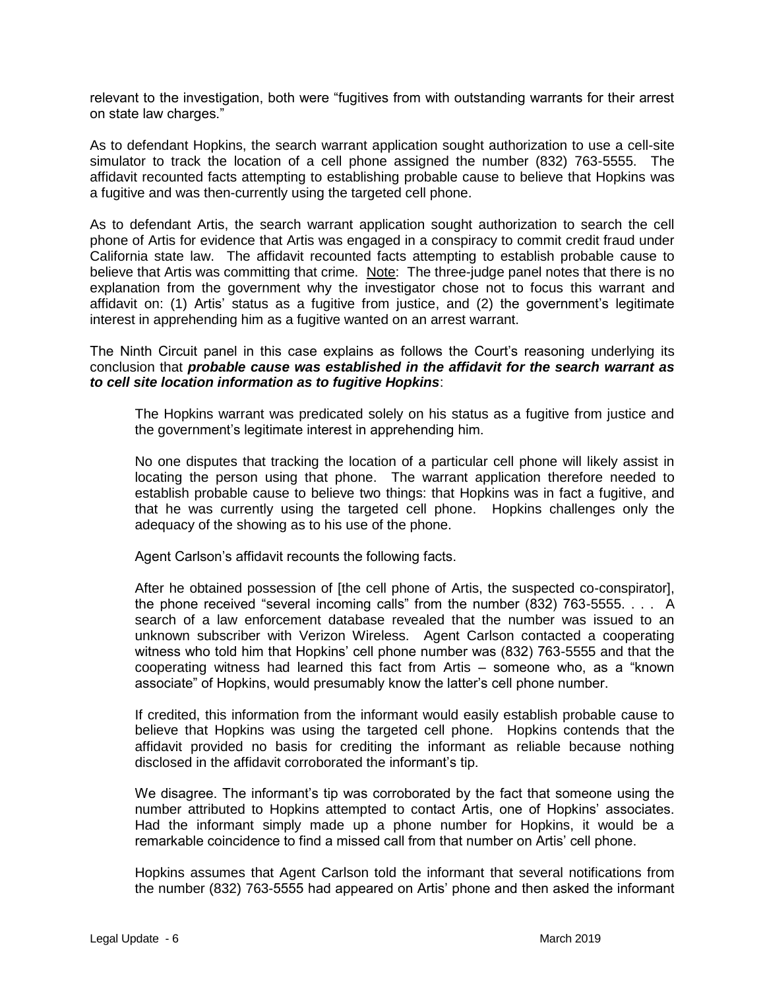relevant to the investigation, both were "fugitives from with outstanding warrants for their arrest on state law charges."

As to defendant Hopkins, the search warrant application sought authorization to use a cell-site simulator to track the location of a cell phone assigned the number (832) 763-5555. The affidavit recounted facts attempting to establishing probable cause to believe that Hopkins was a fugitive and was then-currently using the targeted cell phone.

As to defendant Artis, the search warrant application sought authorization to search the cell phone of Artis for evidence that Artis was engaged in a conspiracy to commit credit fraud under California state law. The affidavit recounted facts attempting to establish probable cause to believe that Artis was committing that crime. Note: The three-judge panel notes that there is no explanation from the government why the investigator chose not to focus this warrant and affidavit on: (1) Artis' status as a fugitive from justice, and (2) the government's legitimate interest in apprehending him as a fugitive wanted on an arrest warrant.

The Ninth Circuit panel in this case explains as follows the Court's reasoning underlying its conclusion that *probable cause was established in the affidavit for the search warrant as to cell site location information as to fugitive Hopkins*:

The Hopkins warrant was predicated solely on his status as a fugitive from justice and the government's legitimate interest in apprehending him.

No one disputes that tracking the location of a particular cell phone will likely assist in locating the person using that phone. The warrant application therefore needed to establish probable cause to believe two things: that Hopkins was in fact a fugitive, and that he was currently using the targeted cell phone. Hopkins challenges only the adequacy of the showing as to his use of the phone.

Agent Carlson's affidavit recounts the following facts.

After he obtained possession of [the cell phone of Artis, the suspected co-conspirator], the phone received "several incoming calls" from the number (832) 763-5555. . . . A search of a law enforcement database revealed that the number was issued to an unknown subscriber with Verizon Wireless. Agent Carlson contacted a cooperating witness who told him that Hopkins' cell phone number was (832) 763-5555 and that the cooperating witness had learned this fact from Artis – someone who, as a "known associate" of Hopkins, would presumably know the latter's cell phone number.

If credited, this information from the informant would easily establish probable cause to believe that Hopkins was using the targeted cell phone. Hopkins contends that the affidavit provided no basis for crediting the informant as reliable because nothing disclosed in the affidavit corroborated the informant's tip.

We disagree. The informant's tip was corroborated by the fact that someone using the number attributed to Hopkins attempted to contact Artis, one of Hopkins' associates. Had the informant simply made up a phone number for Hopkins, it would be a remarkable coincidence to find a missed call from that number on Artis' cell phone.

Hopkins assumes that Agent Carlson told the informant that several notifications from the number (832) 763-5555 had appeared on Artis' phone and then asked the informant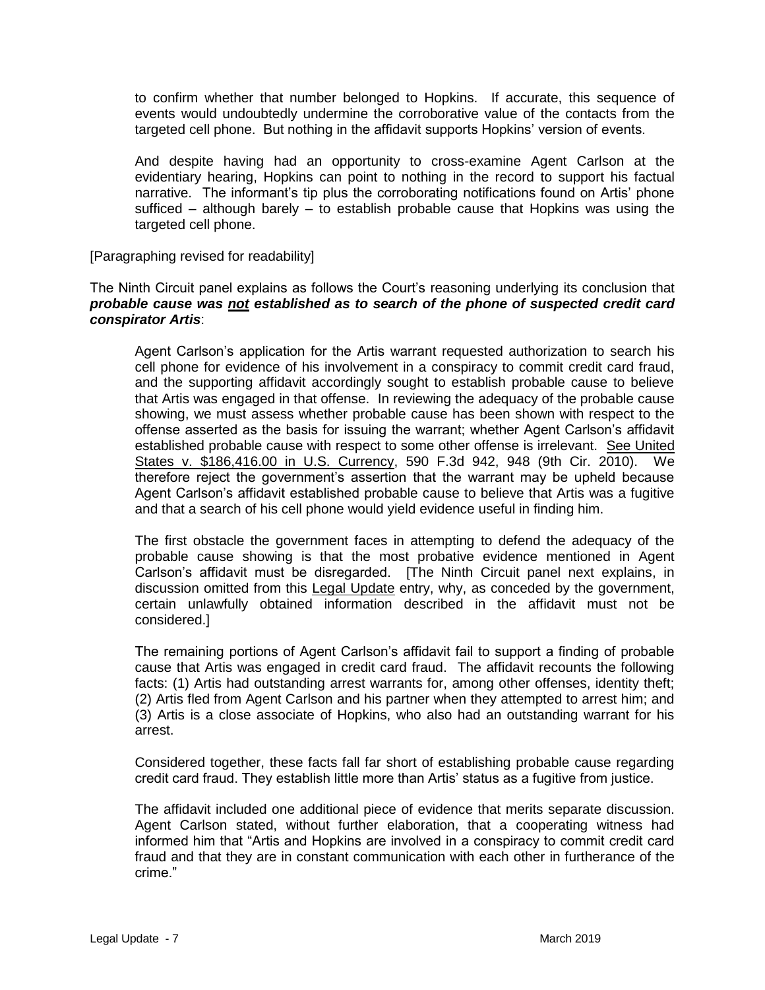to confirm whether that number belonged to Hopkins. If accurate, this sequence of events would undoubtedly undermine the corroborative value of the contacts from the targeted cell phone. But nothing in the affidavit supports Hopkins' version of events.

And despite having had an opportunity to cross-examine Agent Carlson at the evidentiary hearing, Hopkins can point to nothing in the record to support his factual narrative. The informant's tip plus the corroborating notifications found on Artis' phone sufficed – although barely – to establish probable cause that Hopkins was using the targeted cell phone.

[Paragraphing revised for readability]

The Ninth Circuit panel explains as follows the Court's reasoning underlying its conclusion that *probable cause was not established as to search of the phone of suspected credit card conspirator Artis*:

Agent Carlson's application for the Artis warrant requested authorization to search his cell phone for evidence of his involvement in a conspiracy to commit credit card fraud, and the supporting affidavit accordingly sought to establish probable cause to believe that Artis was engaged in that offense. In reviewing the adequacy of the probable cause showing, we must assess whether probable cause has been shown with respect to the offense asserted as the basis for issuing the warrant; whether Agent Carlson's affidavit established probable cause with respect to some other offense is irrelevant. See United States v. \$186,416.00 in U.S. Currency, 590 F.3d 942, 948 (9th Cir. 2010). We therefore reject the government's assertion that the warrant may be upheld because Agent Carlson's affidavit established probable cause to believe that Artis was a fugitive and that a search of his cell phone would yield evidence useful in finding him.

The first obstacle the government faces in attempting to defend the adequacy of the probable cause showing is that the most probative evidence mentioned in Agent Carlson's affidavit must be disregarded. [The Ninth Circuit panel next explains, in discussion omitted from this Legal Update entry, why, as conceded by the government, certain unlawfully obtained information described in the affidavit must not be considered.]

The remaining portions of Agent Carlson's affidavit fail to support a finding of probable cause that Artis was engaged in credit card fraud. The affidavit recounts the following facts: (1) Artis had outstanding arrest warrants for, among other offenses, identity theft; (2) Artis fled from Agent Carlson and his partner when they attempted to arrest him; and (3) Artis is a close associate of Hopkins, who also had an outstanding warrant for his arrest.

Considered together, these facts fall far short of establishing probable cause regarding credit card fraud. They establish little more than Artis' status as a fugitive from justice.

The affidavit included one additional piece of evidence that merits separate discussion. Agent Carlson stated, without further elaboration, that a cooperating witness had informed him that "Artis and Hopkins are involved in a conspiracy to commit credit card fraud and that they are in constant communication with each other in furtherance of the crime."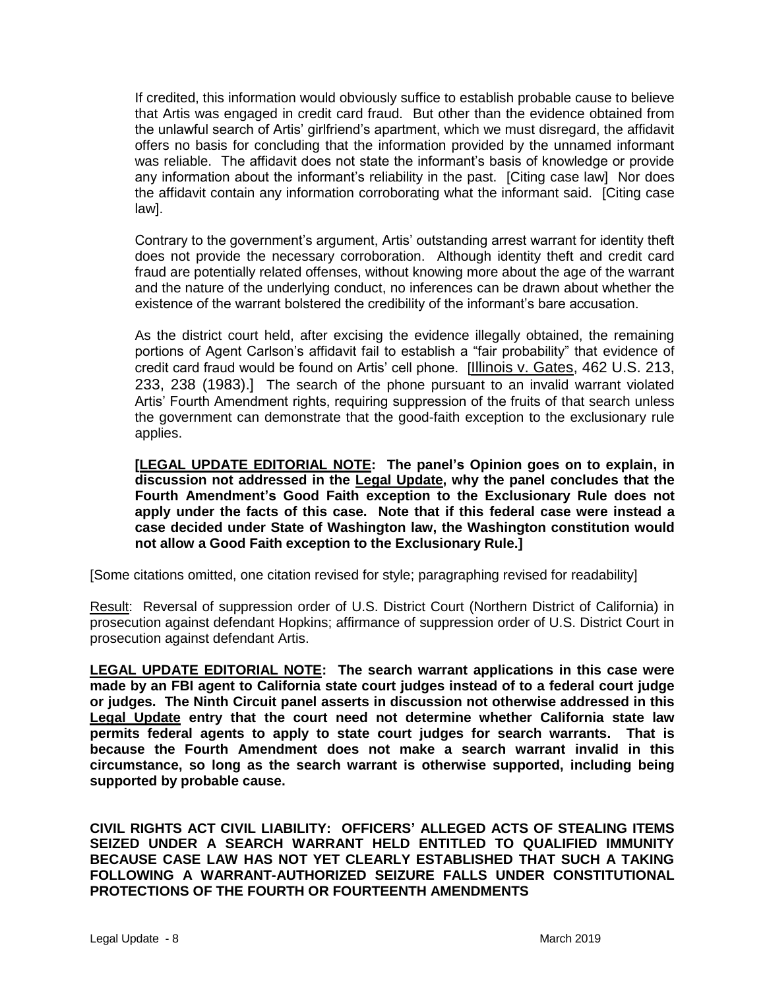If credited, this information would obviously suffice to establish probable cause to believe that Artis was engaged in credit card fraud. But other than the evidence obtained from the unlawful search of Artis' girlfriend's apartment, which we must disregard, the affidavit offers no basis for concluding that the information provided by the unnamed informant was reliable. The affidavit does not state the informant's basis of knowledge or provide any information about the informant's reliability in the past. [Citing case law] Nor does the affidavit contain any information corroborating what the informant said. [Citing case law].

Contrary to the government's argument, Artis' outstanding arrest warrant for identity theft does not provide the necessary corroboration. Although identity theft and credit card fraud are potentially related offenses, without knowing more about the age of the warrant and the nature of the underlying conduct, no inferences can be drawn about whether the existence of the warrant bolstered the credibility of the informant's bare accusation.

As the district court held, after excising the evidence illegally obtained, the remaining portions of Agent Carlson's affidavit fail to establish a "fair probability" that evidence of credit card fraud would be found on Artis' cell phone. [Illinois v. Gates, 462 U.S. 213, 233, 238 (1983).] The search of the phone pursuant to an invalid warrant violated Artis' Fourth Amendment rights, requiring suppression of the fruits of that search unless the government can demonstrate that the good-faith exception to the exclusionary rule applies.

**[LEGAL UPDATE EDITORIAL NOTE: The panel's Opinion goes on to explain, in discussion not addressed in the Legal Update, why the panel concludes that the Fourth Amendment's Good Faith exception to the Exclusionary Rule does not apply under the facts of this case. Note that if this federal case were instead a case decided under State of Washington law, the Washington constitution would not allow a Good Faith exception to the Exclusionary Rule.]** 

[Some citations omitted, one citation revised for style; paragraphing revised for readability]

Result: Reversal of suppression order of U.S. District Court (Northern District of California) in prosecution against defendant Hopkins; affirmance of suppression order of U.S. District Court in prosecution against defendant Artis.

**LEGAL UPDATE EDITORIAL NOTE: The search warrant applications in this case were made by an FBI agent to California state court judges instead of to a federal court judge or judges. The Ninth Circuit panel asserts in discussion not otherwise addressed in this Legal Update entry that the court need not determine whether California state law permits federal agents to apply to state court judges for search warrants. That is because the Fourth Amendment does not make a search warrant invalid in this circumstance, so long as the search warrant is otherwise supported, including being supported by probable cause.**

**CIVIL RIGHTS ACT CIVIL LIABILITY: OFFICERS' ALLEGED ACTS OF STEALING ITEMS SEIZED UNDER A SEARCH WARRANT HELD ENTITLED TO QUALIFIED IMMUNITY BECAUSE CASE LAW HAS NOT YET CLEARLY ESTABLISHED THAT SUCH A TAKING FOLLOWING A WARRANT-AUTHORIZED SEIZURE FALLS UNDER CONSTITUTIONAL PROTECTIONS OF THE FOURTH OR FOURTEENTH AMENDMENTS**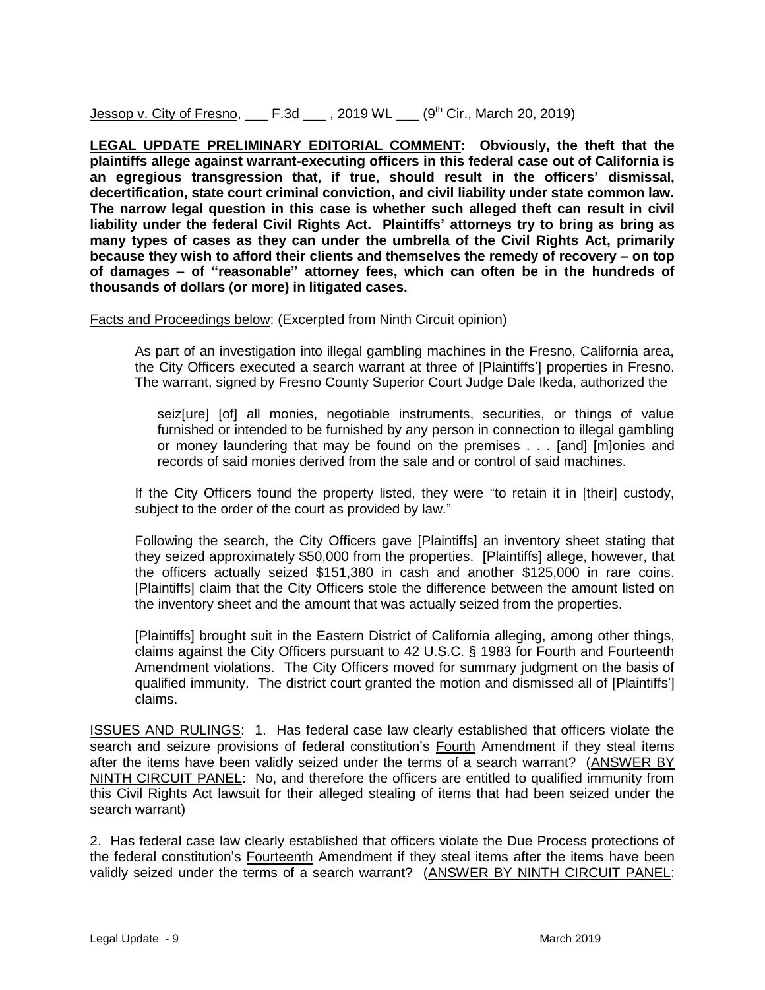Jessop v. City of Fresno,  $\_\_$  F.3d  $\_\_$ , 2019 WL  $\_\_$  (9<sup>th</sup> Cir., March 20, 2019)

**LEGAL UPDATE PRELIMINARY EDITORIAL COMMENT: Obviously, the theft that the plaintiffs allege against warrant-executing officers in this federal case out of California is an egregious transgression that, if true, should result in the officers' dismissal, decertification, state court criminal conviction, and civil liability under state common law. The narrow legal question in this case is whether such alleged theft can result in civil liability under the federal Civil Rights Act. Plaintiffs' attorneys try to bring as bring as many types of cases as they can under the umbrella of the Civil Rights Act, primarily because they wish to afford their clients and themselves the remedy of recovery – on top of damages – of "reasonable" attorney fees, which can often be in the hundreds of thousands of dollars (or more) in litigated cases.**

Facts and Proceedings below: (Excerpted from Ninth Circuit opinion)

As part of an investigation into illegal gambling machines in the Fresno, California area, the City Officers executed a search warrant at three of [Plaintiffs'] properties in Fresno. The warrant, signed by Fresno County Superior Court Judge Dale Ikeda, authorized the

seiz[ure] [of] all monies, negotiable instruments, securities, or things of value furnished or intended to be furnished by any person in connection to illegal gambling or money laundering that may be found on the premises . . . [and] [m]onies and records of said monies derived from the sale and or control of said machines.

If the City Officers found the property listed, they were "to retain it in [their] custody, subiect to the order of the court as provided by law."

Following the search, the City Officers gave [Plaintiffs] an inventory sheet stating that they seized approximately \$50,000 from the properties. [Plaintiffs] allege, however, that the officers actually seized \$151,380 in cash and another \$125,000 in rare coins. [Plaintiffs] claim that the City Officers stole the difference between the amount listed on the inventory sheet and the amount that was actually seized from the properties.

[Plaintiffs] brought suit in the Eastern District of California alleging, among other things, claims against the City Officers pursuant to 42 U.S.C. § 1983 for Fourth and Fourteenth Amendment violations. The City Officers moved for summary judgment on the basis of qualified immunity. The district court granted the motion and dismissed all of [Plaintiffs'] claims.

ISSUES AND RULINGS: 1. Has federal case law clearly established that officers violate the search and seizure provisions of federal constitution's Fourth Amendment if they steal items after the items have been validly seized under the terms of a search warrant? (ANSWER BY NINTH CIRCUIT PANEL: No, and therefore the officers are entitled to qualified immunity from this Civil Rights Act lawsuit for their alleged stealing of items that had been seized under the search warrant)

2. Has federal case law clearly established that officers violate the Due Process protections of the federal constitution's Fourteenth Amendment if they steal items after the items have been validly seized under the terms of a search warrant? (ANSWER BY NINTH CIRCUIT PANEL: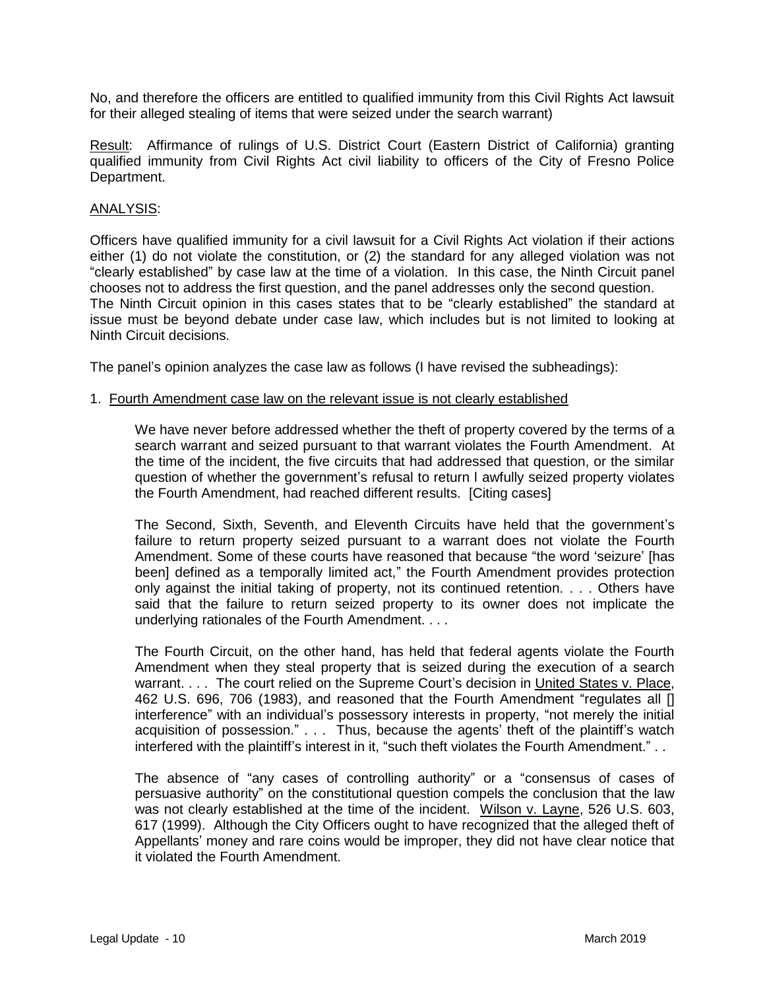No, and therefore the officers are entitled to qualified immunity from this Civil Rights Act lawsuit for their alleged stealing of items that were seized under the search warrant)

Result: Affirmance of rulings of U.S. District Court (Eastern District of California) granting qualified immunity from Civil Rights Act civil liability to officers of the City of Fresno Police Department.

#### ANALYSIS:

Officers have qualified immunity for a civil lawsuit for a Civil Rights Act violation if their actions either (1) do not violate the constitution, or (2) the standard for any alleged violation was not "clearly established" by case law at the time of a violation. In this case, the Ninth Circuit panel chooses not to address the first question, and the panel addresses only the second question. The Ninth Circuit opinion in this cases states that to be "clearly established" the standard at issue must be beyond debate under case law, which includes but is not limited to looking at Ninth Circuit decisions.

The panel's opinion analyzes the case law as follows (I have revised the subheadings):

#### 1. Fourth Amendment case law on the relevant issue is not clearly established

We have never before addressed whether the theft of property covered by the terms of a search warrant and seized pursuant to that warrant violates the Fourth Amendment. At the time of the incident, the five circuits that had addressed that question, or the similar question of whether the government's refusal to return l awfully seized property violates the Fourth Amendment, had reached different results. [Citing cases]

The Second, Sixth, Seventh, and Eleventh Circuits have held that the government's failure to return property seized pursuant to a warrant does not violate the Fourth Amendment. Some of these courts have reasoned that because "the word 'seizure' [has been] defined as a temporally limited act," the Fourth Amendment provides protection only against the initial taking of property, not its continued retention. . . . Others have said that the failure to return seized property to its owner does not implicate the underlying rationales of the Fourth Amendment. . . .

The Fourth Circuit, on the other hand, has held that federal agents violate the Fourth Amendment when they steal property that is seized during the execution of a search warrant. . . . The court relied on the Supreme Court's decision in United States v. Place, 462 U.S. 696, 706 (1983), and reasoned that the Fourth Amendment "regulates all [] interference" with an individual's possessory interests in property, "not merely the initial acquisition of possession." . . . Thus, because the agents' theft of the plaintiff's watch interfered with the plaintiff's interest in it, "such theft violates the Fourth Amendment." . .

The absence of "any cases of controlling authority" or a "consensus of cases of persuasive authority" on the constitutional question compels the conclusion that the law was not clearly established at the time of the incident. Wilson v. Layne, 526 U.S. 603, 617 (1999). Although the City Officers ought to have recognized that the alleged theft of Appellants' money and rare coins would be improper, they did not have clear notice that it violated the Fourth Amendment.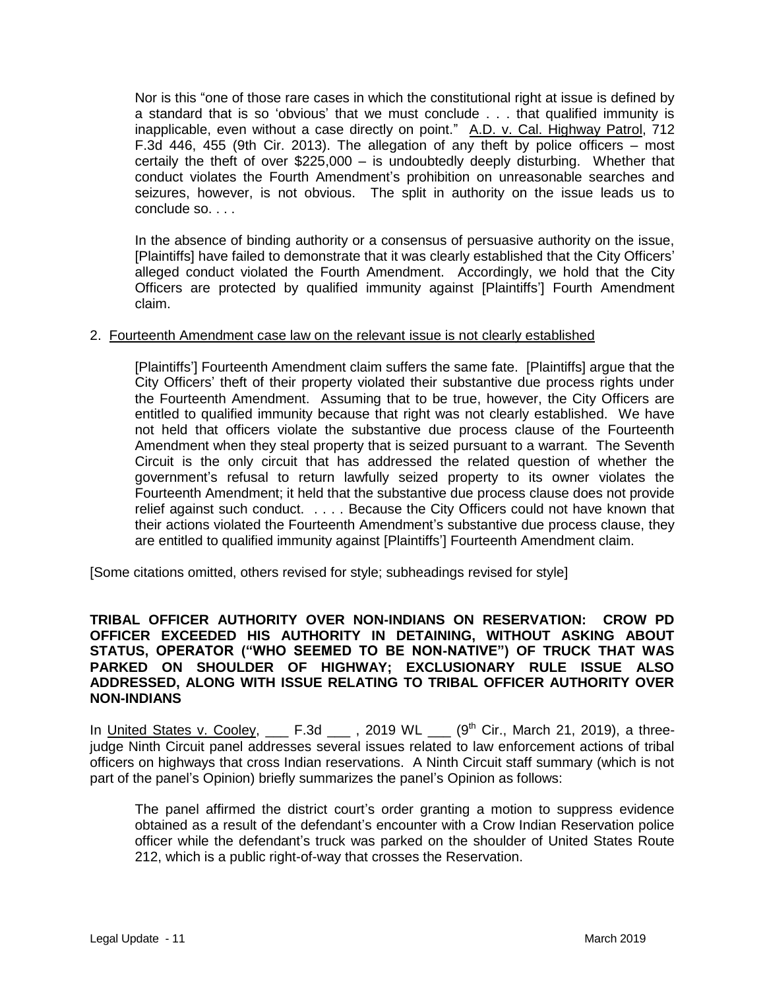Nor is this "one of those rare cases in which the constitutional right at issue is defined by a standard that is so 'obvious' that we must conclude . . . that qualified immunity is inapplicable, even without a case directly on point." A.D. v. Cal. Highway Patrol, 712 F.3d 446, 455 (9th Cir. 2013). The allegation of any theft by police officers  $-$  most certaily the theft of over \$225,000 – is undoubtedly deeply disturbing. Whether that conduct violates the Fourth Amendment's prohibition on unreasonable searches and seizures, however, is not obvious. The split in authority on the issue leads us to conclude so. . . .

In the absence of binding authority or a consensus of persuasive authority on the issue, [Plaintiffs] have failed to demonstrate that it was clearly established that the City Officers' alleged conduct violated the Fourth Amendment. Accordingly, we hold that the City Officers are protected by qualified immunity against [Plaintiffs'] Fourth Amendment claim.

#### 2. Fourteenth Amendment case law on the relevant issue is not clearly established

[Plaintiffs'] Fourteenth Amendment claim suffers the same fate. [Plaintiffs] argue that the City Officers' theft of their property violated their substantive due process rights under the Fourteenth Amendment. Assuming that to be true, however, the City Officers are entitled to qualified immunity because that right was not clearly established. We have not held that officers violate the substantive due process clause of the Fourteenth Amendment when they steal property that is seized pursuant to a warrant. The Seventh Circuit is the only circuit that has addressed the related question of whether the government's refusal to return lawfully seized property to its owner violates the Fourteenth Amendment; it held that the substantive due process clause does not provide relief against such conduct. . . . . Because the City Officers could not have known that their actions violated the Fourteenth Amendment's substantive due process clause, they are entitled to qualified immunity against [Plaintiffs'] Fourteenth Amendment claim.

[Some citations omitted, others revised for style; subheadings revised for style]

### **TRIBAL OFFICER AUTHORITY OVER NON-INDIANS ON RESERVATION: CROW PD OFFICER EXCEEDED HIS AUTHORITY IN DETAINING, WITHOUT ASKING ABOUT STATUS, OPERATOR ("WHO SEEMED TO BE NON-NATIVE") OF TRUCK THAT WAS PARKED ON SHOULDER OF HIGHWAY; EXCLUSIONARY RULE ISSUE ALSO ADDRESSED, ALONG WITH ISSUE RELATING TO TRIBAL OFFICER AUTHORITY OVER NON-INDIANS**

In United States v. Cooley,  $\qquad$  F.3d  $\qquad$ , 2019 WL  $\qquad$  (9<sup>th</sup> Cir., March 21, 2019), a threejudge Ninth Circuit panel addresses several issues related to law enforcement actions of tribal officers on highways that cross Indian reservations. A Ninth Circuit staff summary (which is not part of the panel's Opinion) briefly summarizes the panel's Opinion as follows:

The panel affirmed the district court's order granting a motion to suppress evidence obtained as a result of the defendant's encounter with a Crow Indian Reservation police officer while the defendant's truck was parked on the shoulder of United States Route 212, which is a public right-of-way that crosses the Reservation.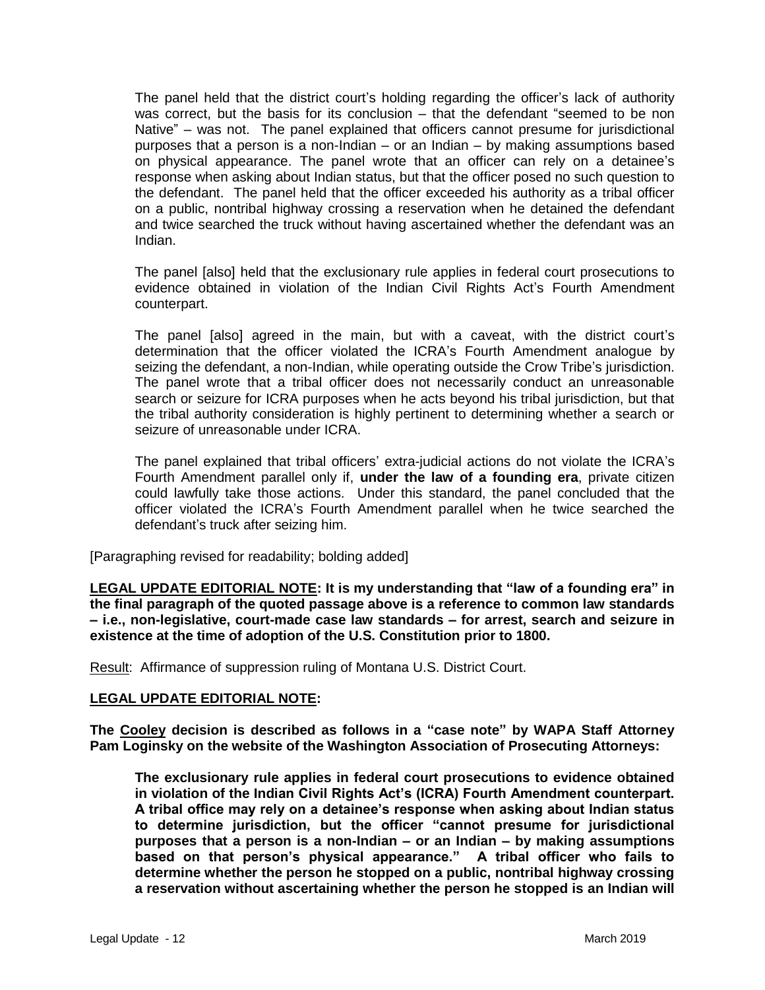The panel held that the district court's holding regarding the officer's lack of authority was correct, but the basis for its conclusion – that the defendant "seemed to be non Native" – was not. The panel explained that officers cannot presume for jurisdictional purposes that a person is a non-Indian – or an Indian – by making assumptions based on physical appearance. The panel wrote that an officer can rely on a detainee's response when asking about Indian status, but that the officer posed no such question to the defendant. The panel held that the officer exceeded his authority as a tribal officer on a public, nontribal highway crossing a reservation when he detained the defendant and twice searched the truck without having ascertained whether the defendant was an Indian.

The panel [also] held that the exclusionary rule applies in federal court prosecutions to evidence obtained in violation of the Indian Civil Rights Act's Fourth Amendment counterpart.

The panel [also] agreed in the main, but with a caveat, with the district court's determination that the officer violated the ICRA's Fourth Amendment analogue by seizing the defendant, a non-Indian, while operating outside the Crow Tribe's jurisdiction. The panel wrote that a tribal officer does not necessarily conduct an unreasonable search or seizure for ICRA purposes when he acts beyond his tribal jurisdiction, but that the tribal authority consideration is highly pertinent to determining whether a search or seizure of unreasonable under ICRA.

The panel explained that tribal officers' extra-judicial actions do not violate the ICRA's Fourth Amendment parallel only if, **under the law of a founding era**, private citizen could lawfully take those actions. Under this standard, the panel concluded that the officer violated the ICRA's Fourth Amendment parallel when he twice searched the defendant's truck after seizing him.

[Paragraphing revised for readability; bolding added]

**LEGAL UPDATE EDITORIAL NOTE: It is my understanding that "law of a founding era" in the final paragraph of the quoted passage above is a reference to common law standards – i.e., non-legislative, court-made case law standards – for arrest, search and seizure in existence at the time of adoption of the U.S. Constitution prior to 1800.**

Result: Affirmance of suppression ruling of Montana U.S. District Court.

### **LEGAL UPDATE EDITORIAL NOTE:**

**The Cooley decision is described as follows in a "case note" by WAPA Staff Attorney Pam Loginsky on the website of the Washington Association of Prosecuting Attorneys:**

**The exclusionary rule applies in federal court prosecutions to evidence obtained in violation of the Indian Civil Rights Act's (ICRA) Fourth Amendment counterpart. A tribal office may rely on a detainee's response when asking about Indian status to determine jurisdiction, but the officer "cannot presume for jurisdictional purposes that a person is a non-Indian – or an Indian – by making assumptions based on that person's physical appearance." A tribal officer who fails to determine whether the person he stopped on a public, nontribal highway crossing a reservation without ascertaining whether the person he stopped is an Indian will**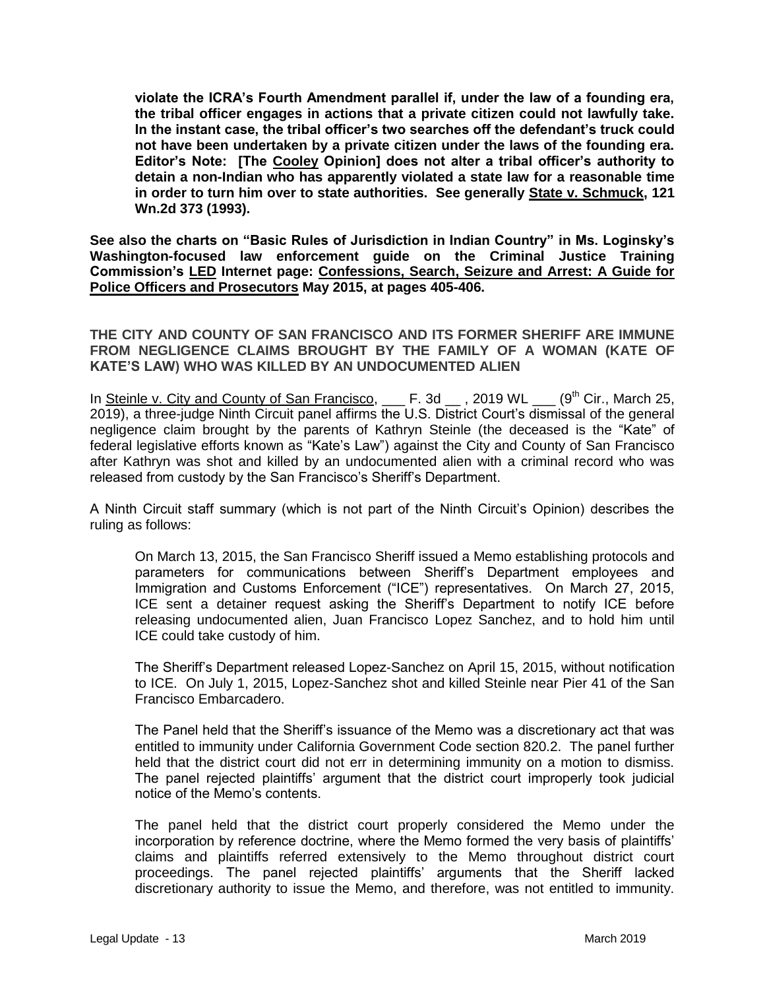**violate the ICRA's Fourth Amendment parallel if, under the law of a founding era, the tribal officer engages in actions that a private citizen could not lawfully take. In the instant case, the tribal officer's two searches off the defendant's truck could not have been undertaken by a private citizen under the laws of the founding era. Editor's Note: [The Cooley Opinion] does not alter a tribal officer's authority to detain a non-Indian who has apparently violated a state law for a reasonable time in order to turn him over to state authorities. See generally State v. Schmuck, 121 Wn.2d 373 (1993).** 

**See also the charts on "Basic Rules of Jurisdiction in Indian Country" in Ms. Loginsky's Washington-focused law enforcement guide on the Criminal Justice Training Commission's LED Internet page: Confessions, Search, Seizure and Arrest: A Guide for Police Officers and Prosecutors May 2015, at pages 405-406.** 

**THE CITY AND COUNTY OF SAN FRANCISCO AND ITS FORMER SHERIFF ARE IMMUNE FROM NEGLIGENCE CLAIMS BROUGHT BY THE FAMILY OF A WOMAN (KATE OF KATE'S LAW) WHO WAS KILLED BY AN UNDOCUMENTED ALIEN**

In Steinle v. City and County of San Francisco, \_\_\_ F. 3d \_\_, 2019 WL \_\_\_ (9<sup>th</sup> Cir., March 25, 2019), a three-judge Ninth Circuit panel affirms the U.S. District Court's dismissal of the general negligence claim brought by the parents of Kathryn Steinle (the deceased is the "Kate" of federal legislative efforts known as "Kate's Law") against the City and County of San Francisco after Kathryn was shot and killed by an undocumented alien with a criminal record who was released from custody by the San Francisco's Sheriff's Department.

A Ninth Circuit staff summary (which is not part of the Ninth Circuit's Opinion) describes the ruling as follows:

On March 13, 2015, the San Francisco Sheriff issued a Memo establishing protocols and parameters for communications between Sheriff's Department employees and Immigration and Customs Enforcement ("ICE") representatives. On March 27, 2015, ICE sent a detainer request asking the Sheriff's Department to notify ICE before releasing undocumented alien, Juan Francisco Lopez Sanchez, and to hold him until ICE could take custody of him.

The Sheriff's Department released Lopez-Sanchez on April 15, 2015, without notification to ICE. On July 1, 2015, Lopez-Sanchez shot and killed Steinle near Pier 41 of the San Francisco Embarcadero.

The Panel held that the Sheriff's issuance of the Memo was a discretionary act that was entitled to immunity under California Government Code section 820.2. The panel further held that the district court did not err in determining immunity on a motion to dismiss. The panel rejected plaintiffs' argument that the district court improperly took judicial notice of the Memo's contents.

The panel held that the district court properly considered the Memo under the incorporation by reference doctrine, where the Memo formed the very basis of plaintiffs' claims and plaintiffs referred extensively to the Memo throughout district court proceedings. The panel rejected plaintiffs' arguments that the Sheriff lacked discretionary authority to issue the Memo, and therefore, was not entitled to immunity.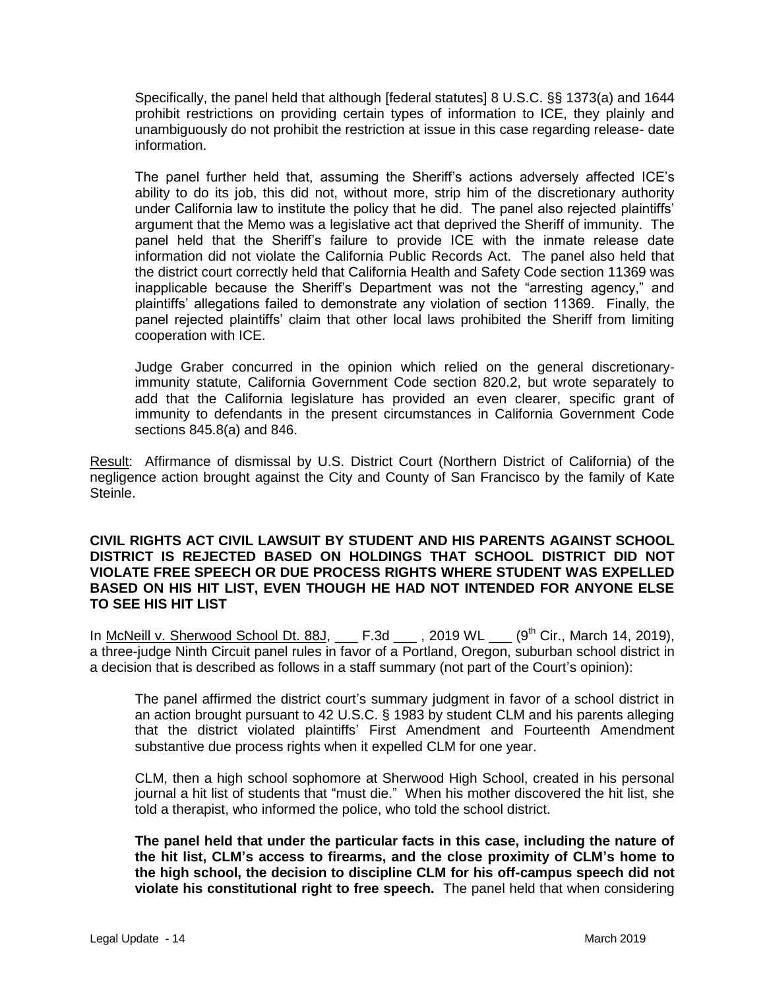Specifically, the panel held that although [federal statutes] 8 U.S.C. §§ 1373(a) and 1644 prohibit restrictions on providing certain types of information to ICE, they plainly and unambiguously do not prohibit the restriction at issue in this case regarding release- date information.

The panel further held that, assuming the Sheriff's actions adversely affected ICE's ability to do its job, this did not, without more, strip him of the discretionary authority under California law to institute the policy that he did. The panel also rejected plaintiffs' argument that the Memo was a legislative act that deprived the Sheriff of immunity. The panel held that the Sheriff's failure to provide ICE with the inmate release date information did not violate the California Public Records Act. The panel also held that the district court correctly held that California Health and Safety Code section 11369 was inapplicable because the Sheriff's Department was not the "arresting agency," and plaintiffs' allegations failed to demonstrate any violation of section 11369. Finally, the panel rejected plaintiffs' claim that other local laws prohibited the Sheriff from limiting cooperation with ICE.

Judge Graber concurred in the opinion which relied on the general discretionaryimmunity statute, California Government Code section 820.2, but wrote separately to add that the California legislature has provided an even clearer, specific grant of immunity to defendants in the present circumstances in California Government Code sections 845.8(a) and 846.

Result: Affirmance of dismissal by U.S. District Court (Northern District of California) of the negligence action brought against the City and County of San Francisco by the family of Kate Steinle.

#### **CIVIL RIGHTS ACT CIVIL LAWSUIT BY STUDENT AND HIS PARENTS AGAINST SCHOOL DISTRICT IS REJECTED BASED ON HOLDINGS THAT SCHOOL DISTRICT DID NOT VIOLATE FREE SPEECH OR DUE PROCESS RIGHTS WHERE STUDENT WAS EXPELLED BASED ON HIS HIT LIST, EVEN THOUGH HE HAD NOT INTENDED FOR ANYONE ELSE TO SEE HIS HIT LIST**

In McNeill v. Sherwood School Dt. 88J,  $E.3d$ , 2019 WL  $(9<sup>th</sup> Cir., March 14, 2019),$ a three-judge Ninth Circuit panel rules in favor of a Portland, Oregon, suburban school district in a decision that is described as follows in a staff summary (not part of the Court's opinion):

The panel affirmed the district court's summary judgment in favor of a school district in an action brought pursuant to 42 U.S.C. § 1983 by student CLM and his parents alleging that the district violated plaintiffs' First Amendment and Fourteenth Amendment substantive due process rights when it expelled CLM for one year.

CLM, then a high school sophomore at Sherwood High School, created in his personal journal a hit list of students that "must die." When his mother discovered the hit list, she told a therapist, who informed the police, who told the school district.

**The panel held that under the particular facts in this case, including the nature of the hit list, CLM's access to firearms, and the close proximity of CLM's home to the high school, the decision to discipline CLM for his off-campus speech did not violate his constitutional right to free speech.** The panel held that when considering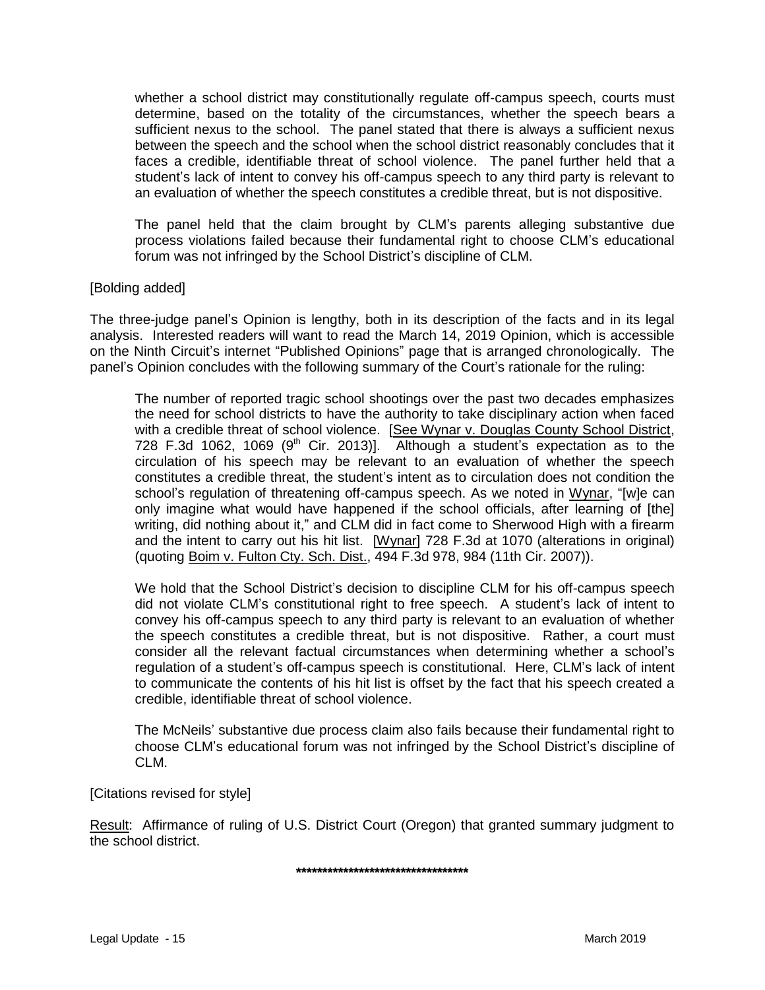whether a school district may constitutionally regulate off-campus speech, courts must determine, based on the totality of the circumstances, whether the speech bears a sufficient nexus to the school. The panel stated that there is always a sufficient nexus between the speech and the school when the school district reasonably concludes that it faces a credible, identifiable threat of school violence. The panel further held that a student's lack of intent to convey his off-campus speech to any third party is relevant to an evaluation of whether the speech constitutes a credible threat, but is not dispositive.

The panel held that the claim brought by CLM's parents alleging substantive due process violations failed because their fundamental right to choose CLM's educational forum was not infringed by the School District's discipline of CLM.

### [Bolding added]

The three-judge panel's Opinion is lengthy, both in its description of the facts and in its legal analysis. Interested readers will want to read the March 14, 2019 Opinion, which is accessible on the Ninth Circuit's internet "Published Opinions" page that is arranged chronologically. The panel's Opinion concludes with the following summary of the Court's rationale for the ruling:

The number of reported tragic school shootings over the past two decades emphasizes the need for school districts to have the authority to take disciplinary action when faced with a credible threat of school violence. [See Wynar v. Douglas County School District, 728 F.3d 1062, 1069 (9<sup>th</sup> Cir. 2013)]. Although a student's expectation as to the circulation of his speech may be relevant to an evaluation of whether the speech constitutes a credible threat, the student's intent as to circulation does not condition the school's regulation of threatening off-campus speech. As we noted in Wynar, "[w]e can only imagine what would have happened if the school officials, after learning of [the] writing, did nothing about it," and CLM did in fact come to Sherwood High with a firearm and the intent to carry out his hit list. [Wynar] 728 F.3d at 1070 (alterations in original) (quoting Boim v. Fulton Cty. Sch. Dist., 494 F.3d 978, 984 (11th Cir. 2007)).

We hold that the School District's decision to discipline CLM for his off-campus speech did not violate CLM's constitutional right to free speech. A student's lack of intent to convey his off-campus speech to any third party is relevant to an evaluation of whether the speech constitutes a credible threat, but is not dispositive. Rather, a court must consider all the relevant factual circumstances when determining whether a school's regulation of a student's off-campus speech is constitutional. Here, CLM's lack of intent to communicate the contents of his hit list is offset by the fact that his speech created a credible, identifiable threat of school violence.

The McNeils' substantive due process claim also fails because their fundamental right to choose CLM's educational forum was not infringed by the School District's discipline of CLM.

[Citations revised for style]

Result: Affirmance of ruling of U.S. District Court (Oregon) that granted summary judgment to the school district.

**\*\*\*\*\*\*\*\*\*\*\*\*\*\*\*\*\*\*\*\*\*\*\*\*\*\*\*\*\*\*\*\*\***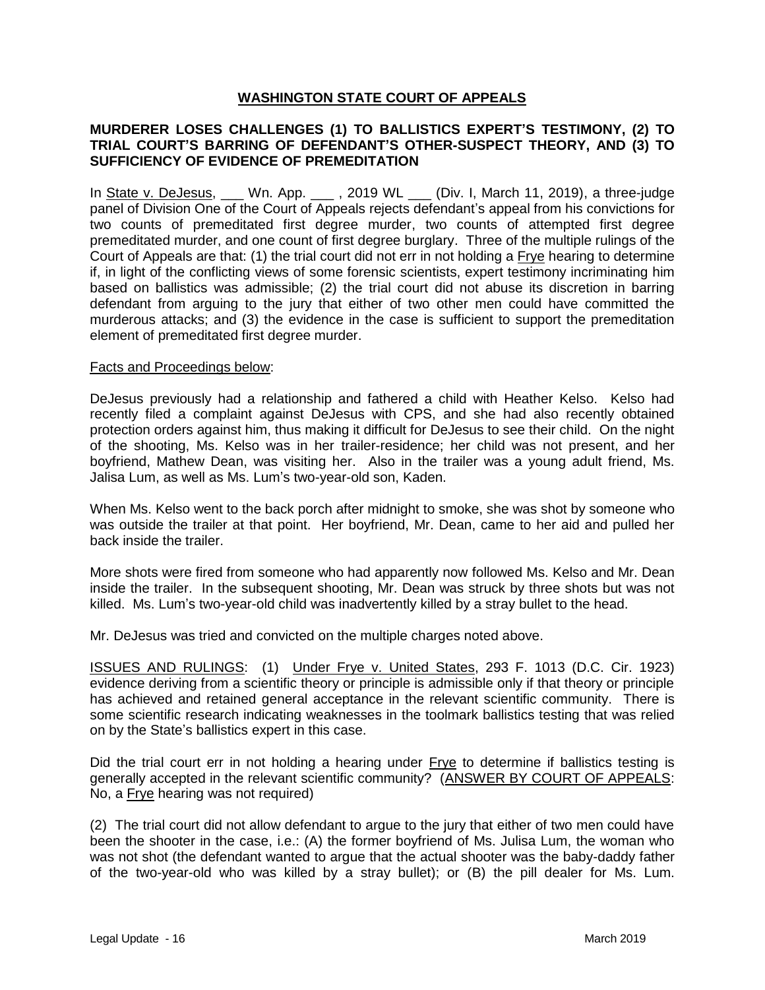### **WASHINGTON STATE COURT OF APPEALS**

### **MURDERER LOSES CHALLENGES (1) TO BALLISTICS EXPERT'S TESTIMONY, (2) TO TRIAL COURT'S BARRING OF DEFENDANT'S OTHER-SUSPECT THEORY, AND (3) TO SUFFICIENCY OF EVIDENCE OF PREMEDITATION**

In State v. DeJesus, \_\_\_ Wn. App. \_\_\_ , 2019 WL \_\_\_ (Div. I, March 11, 2019), a three-judge panel of Division One of the Court of Appeals rejects defendant's appeal from his convictions for two counts of premeditated first degree murder, two counts of attempted first degree premeditated murder, and one count of first degree burglary. Three of the multiple rulings of the Court of Appeals are that: (1) the trial court did not err in not holding a Frye hearing to determine if, in light of the conflicting views of some forensic scientists, expert testimony incriminating him based on ballistics was admissible; (2) the trial court did not abuse its discretion in barring defendant from arguing to the jury that either of two other men could have committed the murderous attacks; and (3) the evidence in the case is sufficient to support the premeditation element of premeditated first degree murder.

#### Facts and Proceedings below:

DeJesus previously had a relationship and fathered a child with Heather Kelso. Kelso had recently filed a complaint against DeJesus with CPS, and she had also recently obtained protection orders against him, thus making it difficult for DeJesus to see their child. On the night of the shooting, Ms. Kelso was in her trailer-residence; her child was not present, and her boyfriend, Mathew Dean, was visiting her. Also in the trailer was a young adult friend, Ms. Jalisa Lum, as well as Ms. Lum's two-year-old son, Kaden.

When Ms. Kelso went to the back porch after midnight to smoke, she was shot by someone who was outside the trailer at that point. Her boyfriend, Mr. Dean, came to her aid and pulled her back inside the trailer.

More shots were fired from someone who had apparently now followed Ms. Kelso and Mr. Dean inside the trailer. In the subsequent shooting, Mr. Dean was struck by three shots but was not killed. Ms. Lum's two-year-old child was inadvertently killed by a stray bullet to the head.

Mr. DeJesus was tried and convicted on the multiple charges noted above.

ISSUES AND RULINGS: (1) Under Frye v. United States, 293 F. 1013 (D.C. Cir. 1923) evidence deriving from a scientific theory or principle is admissible only if that theory or principle has achieved and retained general acceptance in the relevant scientific community. There is some scientific research indicating weaknesses in the toolmark ballistics testing that was relied on by the State's ballistics expert in this case.

Did the trial court err in not holding a hearing under Frye to determine if ballistics testing is generally accepted in the relevant scientific community? (ANSWER BY COURT OF APPEALS: No, a Frye hearing was not required)

(2) The trial court did not allow defendant to argue to the jury that either of two men could have been the shooter in the case, i.e.: (A) the former boyfriend of Ms. Julisa Lum, the woman who was not shot (the defendant wanted to argue that the actual shooter was the baby-daddy father of the two-year-old who was killed by a stray bullet); or (B) the pill dealer for Ms. Lum.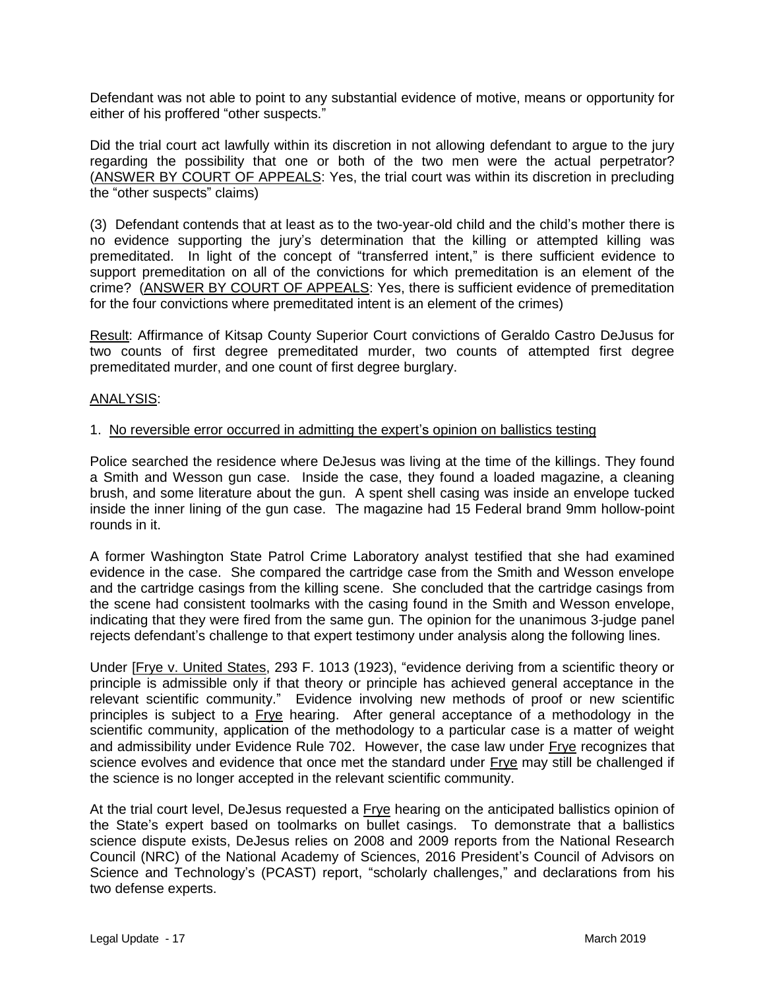Defendant was not able to point to any substantial evidence of motive, means or opportunity for either of his proffered "other suspects."

Did the trial court act lawfully within its discretion in not allowing defendant to argue to the jury regarding the possibility that one or both of the two men were the actual perpetrator? (ANSWER BY COURT OF APPEALS: Yes, the trial court was within its discretion in precluding the "other suspects" claims)

(3) Defendant contends that at least as to the two-year-old child and the child's mother there is no evidence supporting the jury's determination that the killing or attempted killing was premeditated. In light of the concept of "transferred intent," is there sufficient evidence to support premeditation on all of the convictions for which premeditation is an element of the crime? (ANSWER BY COURT OF APPEALS: Yes, there is sufficient evidence of premeditation for the four convictions where premeditated intent is an element of the crimes)

Result: Affirmance of Kitsap County Superior Court convictions of Geraldo Castro DeJusus for two counts of first degree premeditated murder, two counts of attempted first degree premeditated murder, and one count of first degree burglary.

### ANALYSIS:

#### 1. No reversible error occurred in admitting the expert's opinion on ballistics testing

Police searched the residence where DeJesus was living at the time of the killings. They found a Smith and Wesson gun case. Inside the case, they found a loaded magazine, a cleaning brush, and some literature about the gun. A spent shell casing was inside an envelope tucked inside the inner lining of the gun case. The magazine had 15 Federal brand 9mm hollow-point rounds in it.

A former Washington State Patrol Crime Laboratory analyst testified that she had examined evidence in the case. She compared the cartridge case from the Smith and Wesson envelope and the cartridge casings from the killing scene. She concluded that the cartridge casings from the scene had consistent toolmarks with the casing found in the Smith and Wesson envelope, indicating that they were fired from the same gun. The opinion for the unanimous 3-judge panel rejects defendant's challenge to that expert testimony under analysis along the following lines.

Under [Frye v. United States, 293 F. 1013 (1923), "evidence deriving from a scientific theory or principle is admissible only if that theory or principle has achieved general acceptance in the relevant scientific community." Evidence involving new methods of proof or new scientific principles is subject to a Frye hearing. After general acceptance of a methodology in the scientific community, application of the methodology to a particular case is a matter of weight and admissibility under Evidence Rule 702. However, the case law under Frye recognizes that science evolves and evidence that once met the standard under Frye may still be challenged if the science is no longer accepted in the relevant scientific community.

At the trial court level, DeJesus requested a Frye hearing on the anticipated ballistics opinion of the State's expert based on toolmarks on bullet casings. To demonstrate that a ballistics science dispute exists, DeJesus relies on 2008 and 2009 reports from the National Research Council (NRC) of the National Academy of Sciences, 2016 President's Council of Advisors on Science and Technology's (PCAST) report, "scholarly challenges," and declarations from his two defense experts.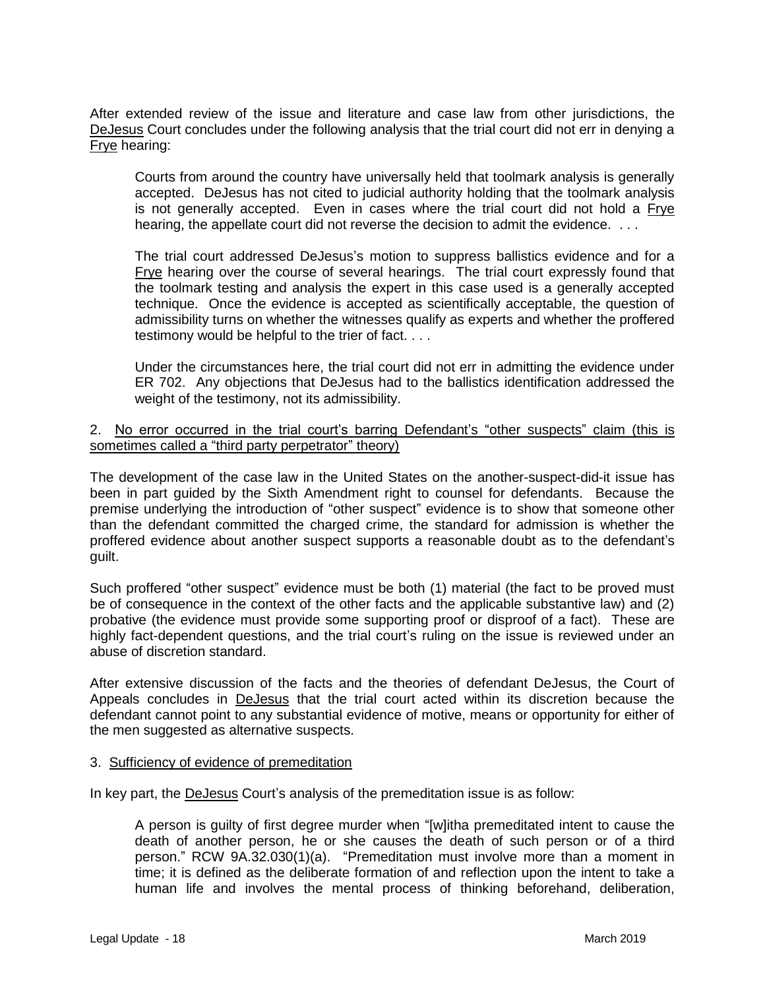After extended review of the issue and literature and case law from other jurisdictions, the DeJesus Court concludes under the following analysis that the trial court did not err in denying a Frye hearing:

Courts from around the country have universally held that toolmark analysis is generally accepted. DeJesus has not cited to judicial authority holding that the toolmark analysis is not generally accepted. Even in cases where the trial court did not hold a Frye hearing, the appellate court did not reverse the decision to admit the evidence. ...

The trial court addressed DeJesus's motion to suppress ballistics evidence and for a Frye hearing over the course of several hearings. The trial court expressly found that the toolmark testing and analysis the expert in this case used is a generally accepted technique. Once the evidence is accepted as scientifically acceptable, the question of admissibility turns on whether the witnesses qualify as experts and whether the proffered testimony would be helpful to the trier of fact. . . .

Under the circumstances here, the trial court did not err in admitting the evidence under ER 702. Any objections that DeJesus had to the ballistics identification addressed the weight of the testimony, not its admissibility.

### 2. No error occurred in the trial court's barring Defendant's "other suspects" claim (this is sometimes called a "third party perpetrator" theory)

The development of the case law in the United States on the another-suspect-did-it issue has been in part guided by the Sixth Amendment right to counsel for defendants. Because the premise underlying the introduction of "other suspect" evidence is to show that someone other than the defendant committed the charged crime, the standard for admission is whether the proffered evidence about another suspect supports a reasonable doubt as to the defendant's guilt.

Such proffered "other suspect" evidence must be both (1) material (the fact to be proved must be of consequence in the context of the other facts and the applicable substantive law) and (2) probative (the evidence must provide some supporting proof or disproof of a fact). These are highly fact-dependent questions, and the trial court's ruling on the issue is reviewed under an abuse of discretion standard.

After extensive discussion of the facts and the theories of defendant DeJesus, the Court of Appeals concludes in DeJesus that the trial court acted within its discretion because the defendant cannot point to any substantial evidence of motive, means or opportunity for either of the men suggested as alternative suspects.

#### 3. Sufficiency of evidence of premeditation

In key part, the DeJesus Court's analysis of the premeditation issue is as follow:

A person is guilty of first degree murder when "[w]itha premeditated intent to cause the death of another person, he or she causes the death of such person or of a third person." RCW 9A.32.030(1)(a). "Premeditation must involve more than a moment in time; it is defined as the deliberate formation of and reflection upon the intent to take a human life and involves the mental process of thinking beforehand, deliberation,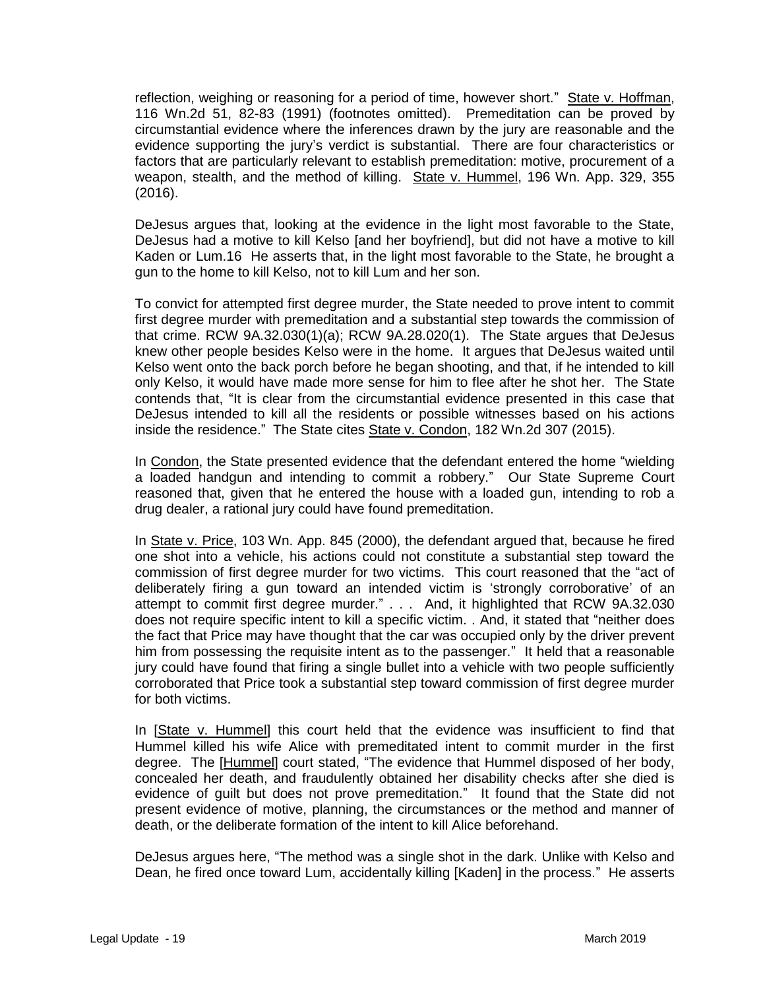reflection, weighing or reasoning for a period of time, however short." State v. Hoffman, 116 Wn.2d 51, 82-83 (1991) (footnotes omitted). Premeditation can be proved by circumstantial evidence where the inferences drawn by the jury are reasonable and the evidence supporting the jury's verdict is substantial. There are four characteristics or factors that are particularly relevant to establish premeditation: motive, procurement of a weapon, stealth, and the method of killing. State v. Hummel, 196 Wn. App. 329, 355 (2016).

DeJesus argues that, looking at the evidence in the light most favorable to the State, DeJesus had a motive to kill Kelso [and her boyfriend], but did not have a motive to kill Kaden or Lum.16 He asserts that, in the light most favorable to the State, he brought a gun to the home to kill Kelso, not to kill Lum and her son.

To convict for attempted first degree murder, the State needed to prove intent to commit first degree murder with premeditation and a substantial step towards the commission of that crime. RCW 9A.32.030(1)(a); RCW 9A.28.020(1). The State argues that DeJesus knew other people besides Kelso were in the home. It argues that DeJesus waited until Kelso went onto the back porch before he began shooting, and that, if he intended to kill only Kelso, it would have made more sense for him to flee after he shot her. The State contends that, "It is clear from the circumstantial evidence presented in this case that DeJesus intended to kill all the residents or possible witnesses based on his actions inside the residence." The State cites State v. Condon, 182 Wn.2d 307 (2015).

In Condon, the State presented evidence that the defendant entered the home "wielding a loaded handgun and intending to commit a robbery." Our State Supreme Court reasoned that, given that he entered the house with a loaded gun, intending to rob a drug dealer, a rational jury could have found premeditation.

In State v. Price, 103 Wn. App. 845 (2000), the defendant argued that, because he fired one shot into a vehicle, his actions could not constitute a substantial step toward the commission of first degree murder for two victims. This court reasoned that the "act of deliberately firing a gun toward an intended victim is 'strongly corroborative' of an attempt to commit first degree murder." . . . And, it highlighted that RCW 9A.32.030 does not require specific intent to kill a specific victim. . And, it stated that "neither does the fact that Price may have thought that the car was occupied only by the driver prevent him from possessing the requisite intent as to the passenger." It held that a reasonable jury could have found that firing a single bullet into a vehicle with two people sufficiently corroborated that Price took a substantial step toward commission of first degree murder for both victims.

In [State v. Hummel] this court held that the evidence was insufficient to find that Hummel killed his wife Alice with premeditated intent to commit murder in the first degree. The [Hummel] court stated, "The evidence that Hummel disposed of her body, concealed her death, and fraudulently obtained her disability checks after she died is evidence of guilt but does not prove premeditation." It found that the State did not present evidence of motive, planning, the circumstances or the method and manner of death, or the deliberate formation of the intent to kill Alice beforehand.

DeJesus argues here, "The method was a single shot in the dark. Unlike with Kelso and Dean, he fired once toward Lum, accidentally killing [Kaden] in the process." He asserts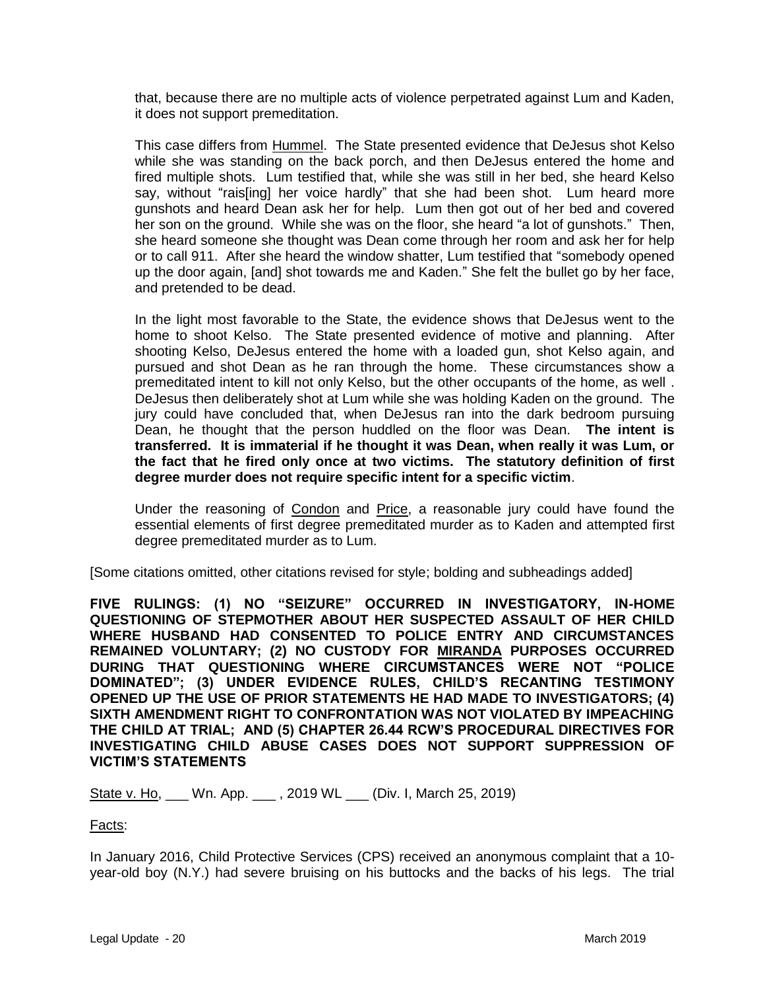that, because there are no multiple acts of violence perpetrated against Lum and Kaden, it does not support premeditation.

This case differs from Hummel. The State presented evidence that DeJesus shot Kelso while she was standing on the back porch, and then DeJesus entered the home and fired multiple shots. Lum testified that, while she was still in her bed, she heard Kelso say, without "rais[ing] her voice hardly" that she had been shot. Lum heard more gunshots and heard Dean ask her for help. Lum then got out of her bed and covered her son on the ground. While she was on the floor, she heard "a lot of gunshots." Then, she heard someone she thought was Dean come through her room and ask her for help or to call 911. After she heard the window shatter, Lum testified that "somebody opened up the door again, [and] shot towards me and Kaden." She felt the bullet go by her face, and pretended to be dead.

In the light most favorable to the State, the evidence shows that DeJesus went to the home to shoot Kelso. The State presented evidence of motive and planning. After shooting Kelso, DeJesus entered the home with a loaded gun, shot Kelso again, and pursued and shot Dean as he ran through the home. These circumstances show a premeditated intent to kill not only Kelso, but the other occupants of the home, as well . DeJesus then deliberately shot at Lum while she was holding Kaden on the ground. The jury could have concluded that, when DeJesus ran into the dark bedroom pursuing Dean, he thought that the person huddled on the floor was Dean. **The intent is transferred. It is immaterial if he thought it was Dean, when really it was Lum, or the fact that he fired only once at two victims. The statutory definition of first degree murder does not require specific intent for a specific victim**.

Under the reasoning of Condon and Price, a reasonable jury could have found the essential elements of first degree premeditated murder as to Kaden and attempted first degree premeditated murder as to Lum.

[Some citations omitted, other citations revised for style; bolding and subheadings added]

**FIVE RULINGS: (1) NO "SEIZURE" OCCURRED IN INVESTIGATORY, IN-HOME QUESTIONING OF STEPMOTHER ABOUT HER SUSPECTED ASSAULT OF HER CHILD WHERE HUSBAND HAD CONSENTED TO POLICE ENTRY AND CIRCUMSTANCES REMAINED VOLUNTARY; (2) NO CUSTODY FOR MIRANDA PURPOSES OCCURRED DURING THAT QUESTIONING WHERE CIRCUMSTANCES WERE NOT "POLICE DOMINATED"; (3) UNDER EVIDENCE RULES, CHILD'S RECANTING TESTIMONY OPENED UP THE USE OF PRIOR STATEMENTS HE HAD MADE TO INVESTIGATORS; (4) SIXTH AMENDMENT RIGHT TO CONFRONTATION WAS NOT VIOLATED BY IMPEACHING THE CHILD AT TRIAL; AND (5) CHAPTER 26.44 RCW'S PROCEDURAL DIRECTIVES FOR INVESTIGATING CHILD ABUSE CASES DOES NOT SUPPORT SUPPRESSION OF VICTIM'S STATEMENTS**

State v. Ho, \_\_\_ Wn. App. \_\_\_, 2019 WL \_\_\_ (Div. I, March 25, 2019)

Facts:

In January 2016, Child Protective Services (CPS) received an anonymous complaint that a 10 year-old boy (N.Y.) had severe bruising on his buttocks and the backs of his legs. The trial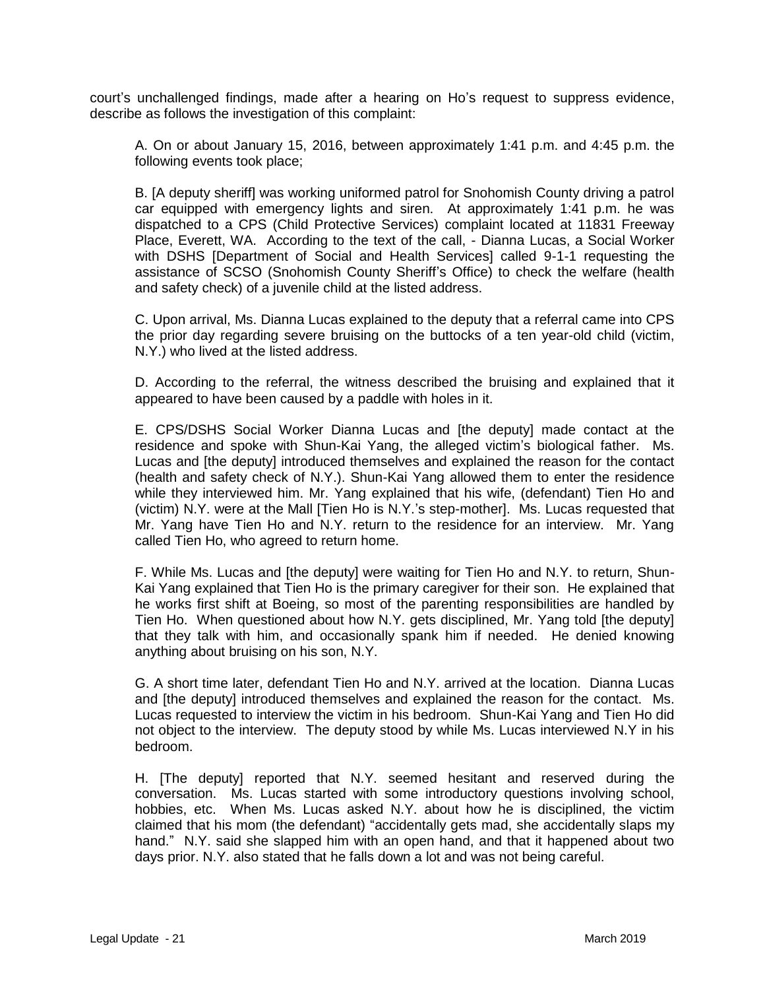court's unchallenged findings, made after a hearing on Ho's request to suppress evidence, describe as follows the investigation of this complaint:

A. On or about January 15, 2016, between approximately 1:41 p.m. and 4:45 p.m. the following events took place;

B. [A deputy sheriff] was working uniformed patrol for Snohomish County driving a patrol car equipped with emergency lights and siren. At approximately 1:41 p.m. he was dispatched to a CPS (Child Protective Services) complaint located at 11831 Freeway Place, Everett, WA. According to the text of the call, - Dianna Lucas, a Social Worker with DSHS [Department of Social and Health Services] called 9-1-1 requesting the assistance of SCSO (Snohomish County Sheriff's Office) to check the welfare (health and safety check) of a juvenile child at the listed address.

C. Upon arrival, Ms. Dianna Lucas explained to the deputy that a referral came into CPS the prior day regarding severe bruising on the buttocks of a ten year-old child (victim, N.Y.) who lived at the listed address.

D. According to the referral, the witness described the bruising and explained that it appeared to have been caused by a paddle with holes in it.

E. CPS/DSHS Social Worker Dianna Lucas and [the deputy] made contact at the residence and spoke with Shun-Kai Yang, the alleged victim's biological father. Ms. Lucas and [the deputy] introduced themselves and explained the reason for the contact (health and safety check of N.Y.). Shun-Kai Yang allowed them to enter the residence while they interviewed him. Mr. Yang explained that his wife, (defendant) Tien Ho and (victim) N.Y. were at the Mall [Tien Ho is N.Y.'s step-mother]. Ms. Lucas requested that Mr. Yang have Tien Ho and N.Y. return to the residence for an interview. Mr. Yang called Tien Ho, who agreed to return home.

F. While Ms. Lucas and [the deputy] were waiting for Tien Ho and N.Y. to return, Shun-Kai Yang explained that Tien Ho is the primary caregiver for their son. He explained that he works first shift at Boeing, so most of the parenting responsibilities are handled by Tien Ho. When questioned about how N.Y. gets disciplined, Mr. Yang told [the deputy] that they talk with him, and occasionally spank him if needed. He denied knowing anything about bruising on his son, N.Y.

G. A short time later, defendant Tien Ho and N.Y. arrived at the location. Dianna Lucas and [the deputy] introduced themselves and explained the reason for the contact. Ms. Lucas requested to interview the victim in his bedroom. Shun-Kai Yang and Tien Ho did not object to the interview. The deputy stood by while Ms. Lucas interviewed N.Y in his bedroom.

H. [The deputy] reported that N.Y. seemed hesitant and reserved during the conversation. Ms. Lucas started with some introductory questions involving school, hobbies, etc. When Ms. Lucas asked N.Y. about how he is disciplined, the victim claimed that his mom (the defendant) "accidentally gets mad, she accidentally slaps my hand." N.Y. said she slapped him with an open hand, and that it happened about two days prior. N.Y. also stated that he falls down a lot and was not being careful.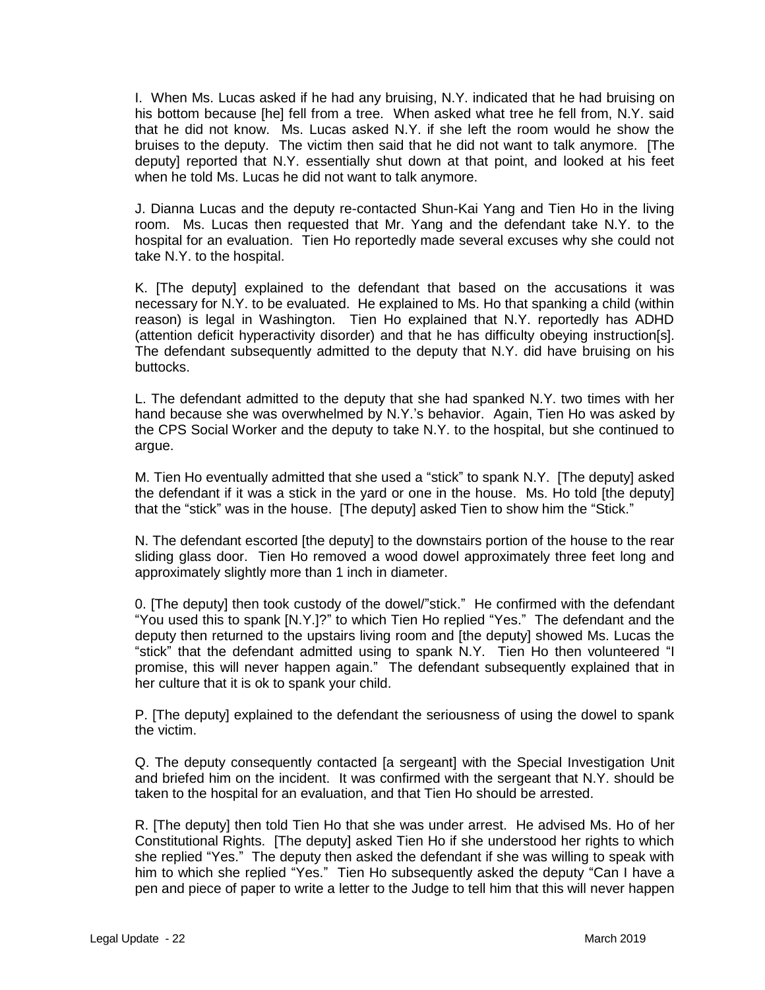I. When Ms. Lucas asked if he had any bruising, N.Y. indicated that he had bruising on his bottom because [he] fell from a tree. When asked what tree he fell from, N.Y. said that he did not know. Ms. Lucas asked N.Y. if she left the room would he show the bruises to the deputy. The victim then said that he did not want to talk anymore. [The deputy] reported that N.Y. essentially shut down at that point, and looked at his feet when he told Ms. Lucas he did not want to talk anymore.

J. Dianna Lucas and the deputy re-contacted Shun-Kai Yang and Tien Ho in the living room. Ms. Lucas then requested that Mr. Yang and the defendant take N.Y. to the hospital for an evaluation. Tien Ho reportedly made several excuses why she could not take N.Y. to the hospital.

K. [The deputy] explained to the defendant that based on the accusations it was necessary for N.Y. to be evaluated. He explained to Ms. Ho that spanking a child (within reason) is legal in Washington. Tien Ho explained that N.Y. reportedly has ADHD (attention deficit hyperactivity disorder) and that he has difficulty obeying instruction[s]. The defendant subsequently admitted to the deputy that N.Y. did have bruising on his buttocks.

L. The defendant admitted to the deputy that she had spanked N.Y. two times with her hand because she was overwhelmed by N.Y.'s behavior. Again, Tien Ho was asked by the CPS Social Worker and the deputy to take N.Y. to the hospital, but she continued to argue.

M. Tien Ho eventually admitted that she used a "stick" to spank N.Y. [The deputy] asked the defendant if it was a stick in the yard or one in the house. Ms. Ho told [the deputy] that the "stick" was in the house. [The deputy] asked Tien to show him the "Stick."

N. The defendant escorted [the deputy] to the downstairs portion of the house to the rear sliding glass door. Tien Ho removed a wood dowel approximately three feet long and approximately slightly more than 1 inch in diameter.

0. [The deputy] then took custody of the dowel/"stick." He confirmed with the defendant "You used this to spank [N.Y.]?" to which Tien Ho replied "Yes." The defendant and the deputy then returned to the upstairs living room and [the deputy] showed Ms. Lucas the "stick" that the defendant admitted using to spank N.Y. Tien Ho then volunteered "I promise, this will never happen again." The defendant subsequently explained that in her culture that it is ok to spank your child.

P. [The deputy] explained to the defendant the seriousness of using the dowel to spank the victim.

Q. The deputy consequently contacted [a sergeant] with the Special Investigation Unit and briefed him on the incident. It was confirmed with the sergeant that N.Y. should be taken to the hospital for an evaluation, and that Tien Ho should be arrested.

R. [The deputy] then told Tien Ho that she was under arrest. He advised Ms. Ho of her Constitutional Rights. [The deputy] asked Tien Ho if she understood her rights to which she replied "Yes." The deputy then asked the defendant if she was willing to speak with him to which she replied "Yes." Tien Ho subsequently asked the deputy "Can I have a pen and piece of paper to write a letter to the Judge to tell him that this will never happen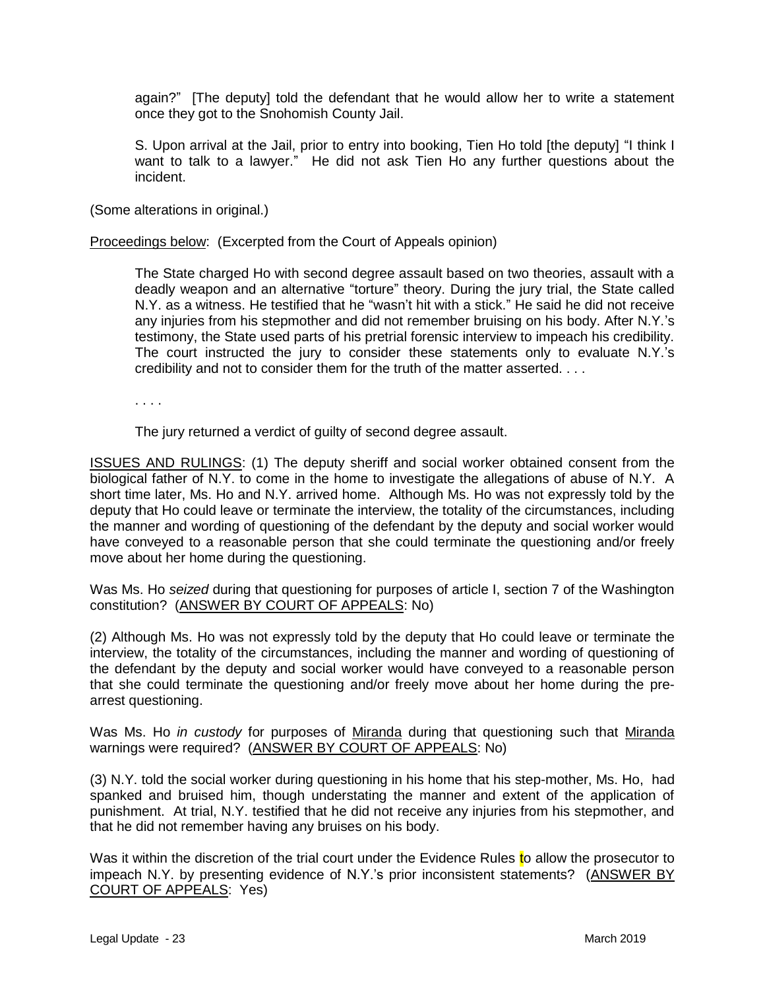again?" [The deputy] told the defendant that he would allow her to write a statement once they got to the Snohomish County Jail.

S. Upon arrival at the Jail, prior to entry into booking, Tien Ho told [the deputy] "I think I want to talk to a lawyer." He did not ask Tien Ho any further questions about the incident.

(Some alterations in original.)

Proceedings below: (Excerpted from the Court of Appeals opinion)

The State charged Ho with second degree assault based on two theories, assault with a deadly weapon and an alternative "torture" theory. During the jury trial, the State called N.Y. as a witness. He testified that he "wasn't hit with a stick." He said he did not receive any injuries from his stepmother and did not remember bruising on his body. After N.Y.'s testimony, the State used parts of his pretrial forensic interview to impeach his credibility. The court instructed the jury to consider these statements only to evaluate N.Y.'s credibility and not to consider them for the truth of the matter asserted. . . .

. . . .

The jury returned a verdict of guilty of second degree assault.

ISSUES AND RULINGS: (1) The deputy sheriff and social worker obtained consent from the biological father of N.Y. to come in the home to investigate the allegations of abuse of N.Y. A short time later, Ms. Ho and N.Y. arrived home. Although Ms. Ho was not expressly told by the deputy that Ho could leave or terminate the interview, the totality of the circumstances, including the manner and wording of questioning of the defendant by the deputy and social worker would have conveyed to a reasonable person that she could terminate the questioning and/or freely move about her home during the questioning.

Was Ms. Ho *seized* during that questioning for purposes of article I, section 7 of the Washington constitution? (ANSWER BY COURT OF APPEALS: No)

(2) Although Ms. Ho was not expressly told by the deputy that Ho could leave or terminate the interview, the totality of the circumstances, including the manner and wording of questioning of the defendant by the deputy and social worker would have conveyed to a reasonable person that she could terminate the questioning and/or freely move about her home during the prearrest questioning.

Was Ms. Ho *in custody* for purposes of Miranda during that questioning such that Miranda warnings were required? (ANSWER BY COURT OF APPEALS: No)

(3) N.Y. told the social worker during questioning in his home that his step-mother, Ms. Ho, had spanked and bruised him, though understating the manner and extent of the application of punishment. At trial, N.Y. testified that he did not receive any injuries from his stepmother, and that he did not remember having any bruises on his body.

Was it within the discretion of the trial court under the Evidence Rules to allow the prosecutor to impeach N.Y. by presenting evidence of N.Y.'s prior inconsistent statements? (ANSWER BY COURT OF APPEALS: Yes)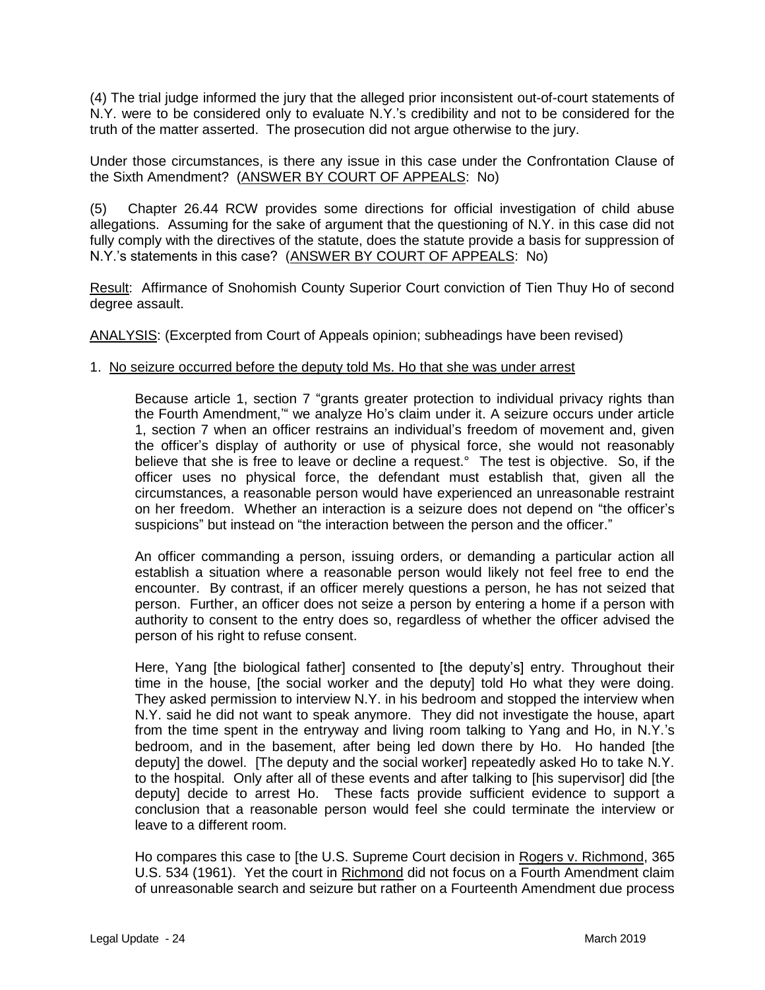(4) The trial judge informed the jury that the alleged prior inconsistent out-of-court statements of N.Y. were to be considered only to evaluate N.Y.'s credibility and not to be considered for the truth of the matter asserted. The prosecution did not argue otherwise to the jury.

Under those circumstances, is there any issue in this case under the Confrontation Clause of the Sixth Amendment? (ANSWER BY COURT OF APPEALS: No)

(5) Chapter 26.44 RCW provides some directions for official investigation of child abuse allegations. Assuming for the sake of argument that the questioning of N.Y. in this case did not fully comply with the directives of the statute, does the statute provide a basis for suppression of N.Y.'s statements in this case? (ANSWER BY COURT OF APPEALS: No)

Result: Affirmance of Snohomish County Superior Court conviction of Tien Thuy Ho of second degree assault.

ANALYSIS: (Excerpted from Court of Appeals opinion; subheadings have been revised)

#### 1. No seizure occurred before the deputy told Ms. Ho that she was under arrest

Because article 1, section 7 "grants greater protection to individual privacy rights than the Fourth Amendment,'" we analyze Ho's claim under it. A seizure occurs under article 1, section 7 when an officer restrains an individual's freedom of movement and, given the officer's display of authority or use of physical force, she would not reasonably believe that she is free to leave or decline a request.° The test is objective. So, if the officer uses no physical force, the defendant must establish that, given all the circumstances, a reasonable person would have experienced an unreasonable restraint on her freedom. Whether an interaction is a seizure does not depend on "the officer's suspicions" but instead on "the interaction between the person and the officer."

An officer commanding a person, issuing orders, or demanding a particular action all establish a situation where a reasonable person would likely not feel free to end the encounter. By contrast, if an officer merely questions a person, he has not seized that person. Further, an officer does not seize a person by entering a home if a person with authority to consent to the entry does so, regardless of whether the officer advised the person of his right to refuse consent.

Here, Yang [the biological father] consented to [the deputy's] entry. Throughout their time in the house, [the social worker and the deputy] told Ho what they were doing. They asked permission to interview N.Y. in his bedroom and stopped the interview when N.Y. said he did not want to speak anymore. They did not investigate the house, apart from the time spent in the entryway and living room talking to Yang and Ho, in N.Y.'s bedroom, and in the basement, after being led down there by Ho. Ho handed [the deputy] the dowel. [The deputy and the social worker] repeatedly asked Ho to take N.Y. to the hospital. Only after all of these events and after talking to [his supervisor] did [the deputy] decide to arrest Ho. These facts provide sufficient evidence to support a conclusion that a reasonable person would feel she could terminate the interview or leave to a different room.

Ho compares this case to [the U.S. Supreme Court decision in Rogers v. Richmond, 365 U.S. 534 (1961). Yet the court in Richmond did not focus on a Fourth Amendment claim of unreasonable search and seizure but rather on a Fourteenth Amendment due process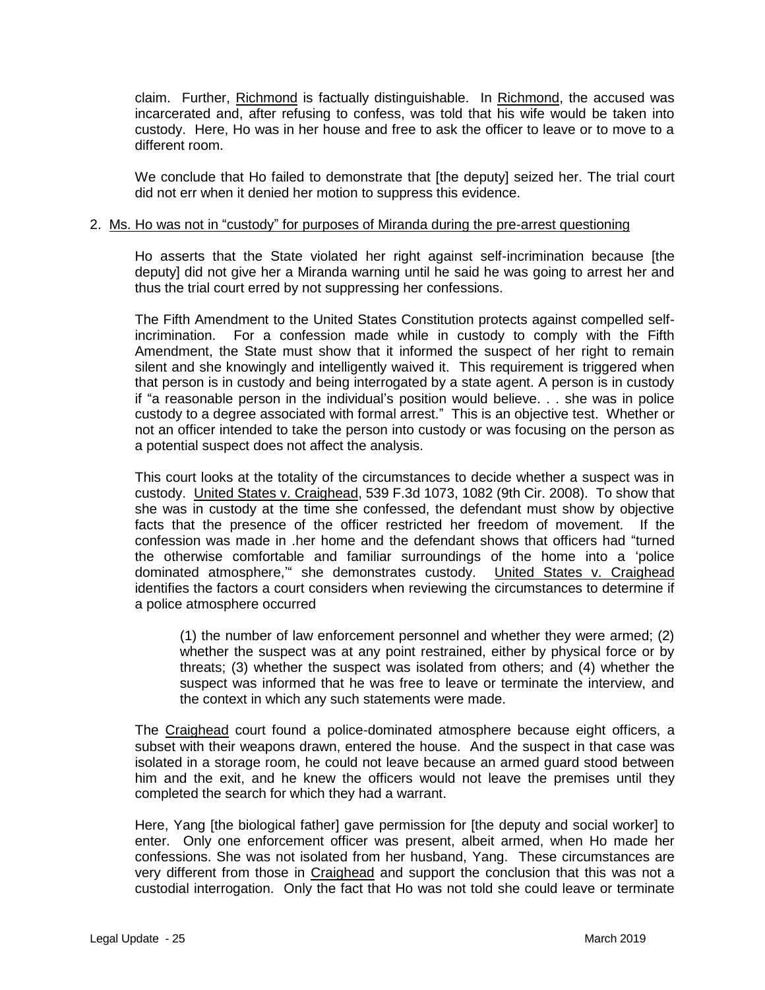claim. Further, Richmond is factually distinguishable. In Richmond, the accused was incarcerated and, after refusing to confess, was told that his wife would be taken into custody. Here, Ho was in her house and free to ask the officer to leave or to move to a different room.

We conclude that Ho failed to demonstrate that [the deputy] seized her. The trial court did not err when it denied her motion to suppress this evidence.

#### 2. Ms. Ho was not in "custody" for purposes of Miranda during the pre-arrest questioning

Ho asserts that the State violated her right against self-incrimination because [the deputy] did not give her a Miranda warning until he said he was going to arrest her and thus the trial court erred by not suppressing her confessions.

The Fifth Amendment to the United States Constitution protects against compelled selfincrimination. For a confession made while in custody to comply with the Fifth Amendment, the State must show that it informed the suspect of her right to remain silent and she knowingly and intelligently waived it. This requirement is triggered when that person is in custody and being interrogated by a state agent. A person is in custody if "a reasonable person in the individual's position would believe. . . she was in police custody to a degree associated with formal arrest." This is an objective test. Whether or not an officer intended to take the person into custody or was focusing on the person as a potential suspect does not affect the analysis.

This court looks at the totality of the circumstances to decide whether a suspect was in custody. United States v. Craighead, 539 F.3d 1073, 1082 (9th Cir. 2008). To show that she was in custody at the time she confessed, the defendant must show by objective facts that the presence of the officer restricted her freedom of movement. If the confession was made in .her home and the defendant shows that officers had "turned the otherwise comfortable and familiar surroundings of the home into a 'police dominated atmosphere,<sup>"</sup> she demonstrates custody. United States v. Craighead identifies the factors a court considers when reviewing the circumstances to determine if a police atmosphere occurred

(1) the number of law enforcement personnel and whether they were armed; (2) whether the suspect was at any point restrained, either by physical force or by threats; (3) whether the suspect was isolated from others; and (4) whether the suspect was informed that he was free to leave or terminate the interview, and the context in which any such statements were made.

The Craighead court found a police-dominated atmosphere because eight officers, a subset with their weapons drawn, entered the house. And the suspect in that case was isolated in a storage room, he could not leave because an armed guard stood between him and the exit, and he knew the officers would not leave the premises until they completed the search for which they had a warrant.

Here, Yang [the biological father] gave permission for [the deputy and social worker] to enter. Only one enforcement officer was present, albeit armed, when Ho made her confessions. She was not isolated from her husband, Yang. These circumstances are very different from those in Craighead and support the conclusion that this was not a custodial interrogation. Only the fact that Ho was not told she could leave or terminate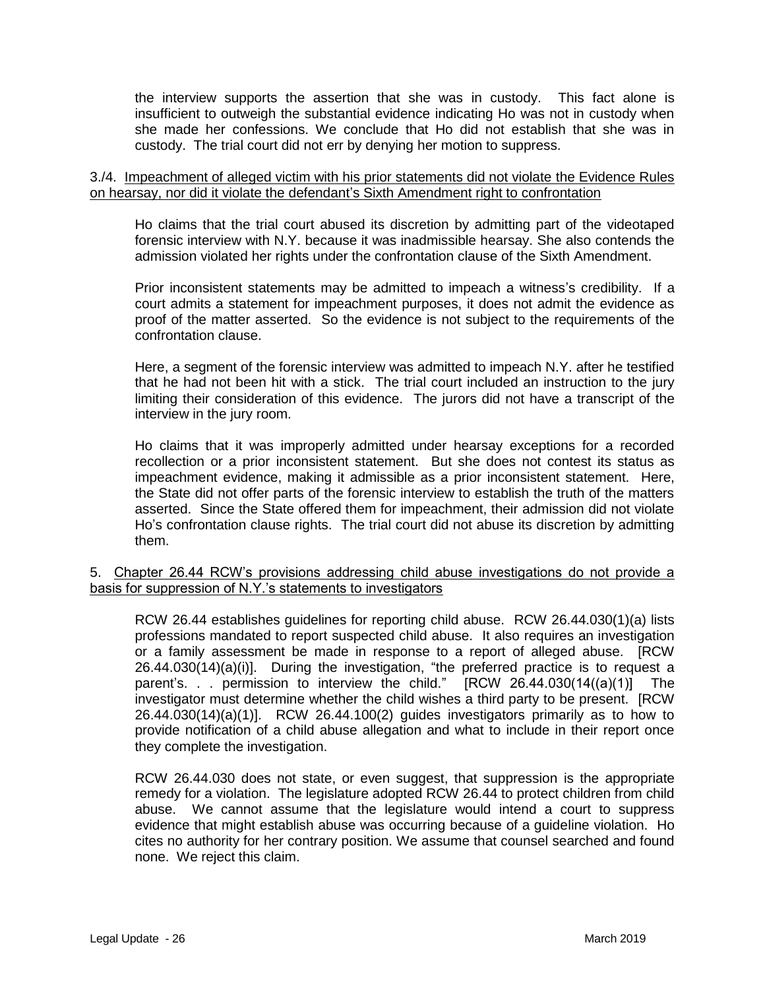the interview supports the assertion that she was in custody. This fact alone is insufficient to outweigh the substantial evidence indicating Ho was not in custody when she made her confessions. We conclude that Ho did not establish that she was in custody. The trial court did not err by denying her motion to suppress.

#### 3./4. Impeachment of alleged victim with his prior statements did not violate the Evidence Rules on hearsay, nor did it violate the defendant's Sixth Amendment right to confrontation

Ho claims that the trial court abused its discretion by admitting part of the videotaped forensic interview with N.Y. because it was inadmissible hearsay. She also contends the admission violated her rights under the confrontation clause of the Sixth Amendment.

Prior inconsistent statements may be admitted to impeach a witness's credibility. If a court admits a statement for impeachment purposes, it does not admit the evidence as proof of the matter asserted. So the evidence is not subject to the requirements of the confrontation clause.

Here, a segment of the forensic interview was admitted to impeach N.Y. after he testified that he had not been hit with a stick. The trial court included an instruction to the jury limiting their consideration of this evidence. The jurors did not have a transcript of the interview in the jury room.

Ho claims that it was improperly admitted under hearsay exceptions for a recorded recollection or a prior inconsistent statement. But she does not contest its status as impeachment evidence, making it admissible as a prior inconsistent statement. Here, the State did not offer parts of the forensic interview to establish the truth of the matters asserted. Since the State offered them for impeachment, their admission did not violate Ho's confrontation clause rights. The trial court did not abuse its discretion by admitting them.

### 5. Chapter 26.44 RCW's provisions addressing child abuse investigations do not provide a basis for suppression of N.Y.'s statements to investigators

RCW 26.44 establishes guidelines for reporting child abuse. RCW 26.44.030(1)(a) lists professions mandated to report suspected child abuse. It also requires an investigation or a family assessment be made in response to a report of alleged abuse. [RCW  $26.44.030(14)(a)(i)$ ]. During the investigation, "the preferred practice is to request a parent's. . . permission to interview the child." [RCW 26.44.030(14((a)(1)] The investigator must determine whether the child wishes a third party to be present. [RCW 26.44.030(14)(a)(1)]. RCW 26.44.100(2) guides investigators primarily as to how to provide notification of a child abuse allegation and what to include in their report once they complete the investigation.

RCW 26.44.030 does not state, or even suggest, that suppression is the appropriate remedy for a violation. The legislature adopted RCW 26.44 to protect children from child abuse. We cannot assume that the legislature would intend a court to suppress evidence that might establish abuse was occurring because of a guideline violation. Ho cites no authority for her contrary position. We assume that counsel searched and found none. We reject this claim.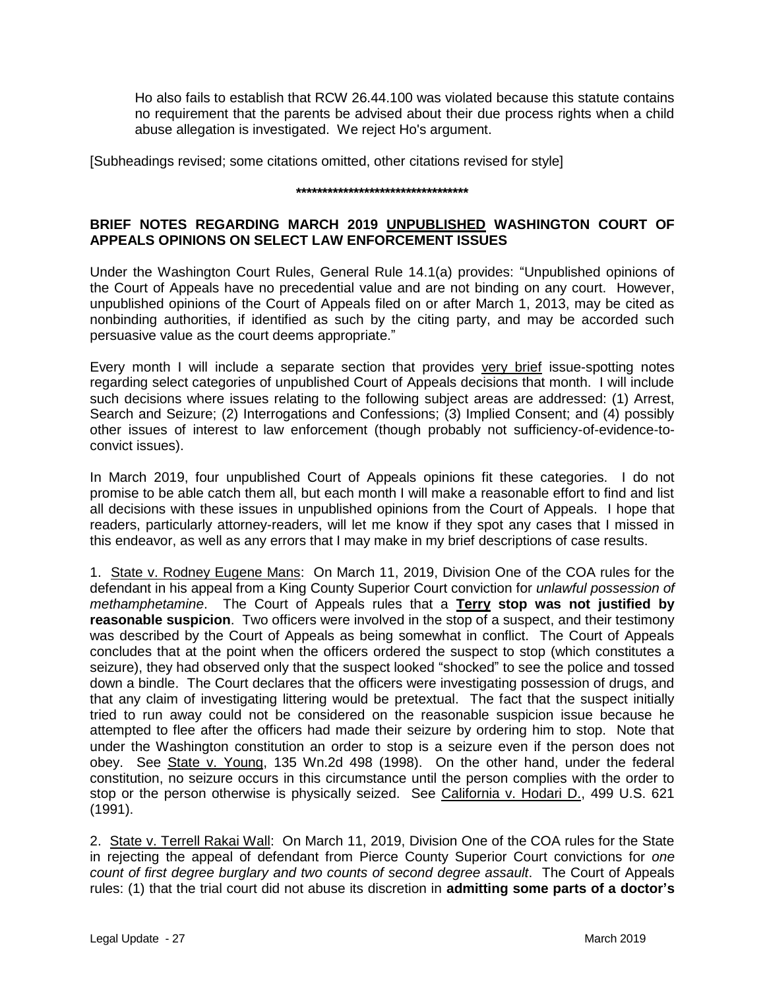Ho also fails to establish that RCW 26.44.100 was violated because this statute contains no requirement that the parents be advised about their due process rights when a child abuse allegation is investigated. We reject Ho's argument.

[Subheadings revised; some citations omitted, other citations revised for style]

#### **\*\*\*\*\*\*\*\*\*\*\*\*\*\*\*\*\*\*\*\*\*\*\*\*\*\*\*\*\*\*\*\*\***

### **BRIEF NOTES REGARDING MARCH 2019 UNPUBLISHED WASHINGTON COURT OF APPEALS OPINIONS ON SELECT LAW ENFORCEMENT ISSUES**

Under the Washington Court Rules, General Rule 14.1(a) provides: "Unpublished opinions of the Court of Appeals have no precedential value and are not binding on any court. However, unpublished opinions of the Court of Appeals filed on or after March 1, 2013, may be cited as nonbinding authorities, if identified as such by the citing party, and may be accorded such persuasive value as the court deems appropriate."

Every month I will include a separate section that provides very brief issue-spotting notes regarding select categories of unpublished Court of Appeals decisions that month. I will include such decisions where issues relating to the following subject areas are addressed: (1) Arrest, Search and Seizure; (2) Interrogations and Confessions; (3) Implied Consent; and (4) possibly other issues of interest to law enforcement (though probably not sufficiency-of-evidence-toconvict issues).

In March 2019, four unpublished Court of Appeals opinions fit these categories. I do not promise to be able catch them all, but each month I will make a reasonable effort to find and list all decisions with these issues in unpublished opinions from the Court of Appeals. I hope that readers, particularly attorney-readers, will let me know if they spot any cases that I missed in this endeavor, as well as any errors that I may make in my brief descriptions of case results.

1. State v. Rodney Eugene Mans: On March 11, 2019, Division One of the COA rules for the defendant in his appeal from a King County Superior Court conviction for *unlawful possession of methamphetamine*. The Court of Appeals rules that a **Terry stop was not justified by reasonable suspicion.** Two officers were involved in the stop of a suspect, and their testimony was described by the Court of Appeals as being somewhat in conflict. The Court of Appeals concludes that at the point when the officers ordered the suspect to stop (which constitutes a seizure), they had observed only that the suspect looked "shocked" to see the police and tossed down a bindle. The Court declares that the officers were investigating possession of drugs, and that any claim of investigating littering would be pretextual. The fact that the suspect initially tried to run away could not be considered on the reasonable suspicion issue because he attempted to flee after the officers had made their seizure by ordering him to stop. Note that under the Washington constitution an order to stop is a seizure even if the person does not obey. See State v. Young, 135 Wn.2d 498 (1998). On the other hand, under the federal constitution, no seizure occurs in this circumstance until the person complies with the order to stop or the person otherwise is physically seized. See California v. Hodari D., 499 U.S. 621 (1991).

2. State v. Terrell Rakai Wall: On March 11, 2019, Division One of the COA rules for the State in rejecting the appeal of defendant from Pierce County Superior Court convictions for *one count of first degree burglary and two counts of second degree assault*. The Court of Appeals rules: (1) that the trial court did not abuse its discretion in **admitting some parts of a doctor's**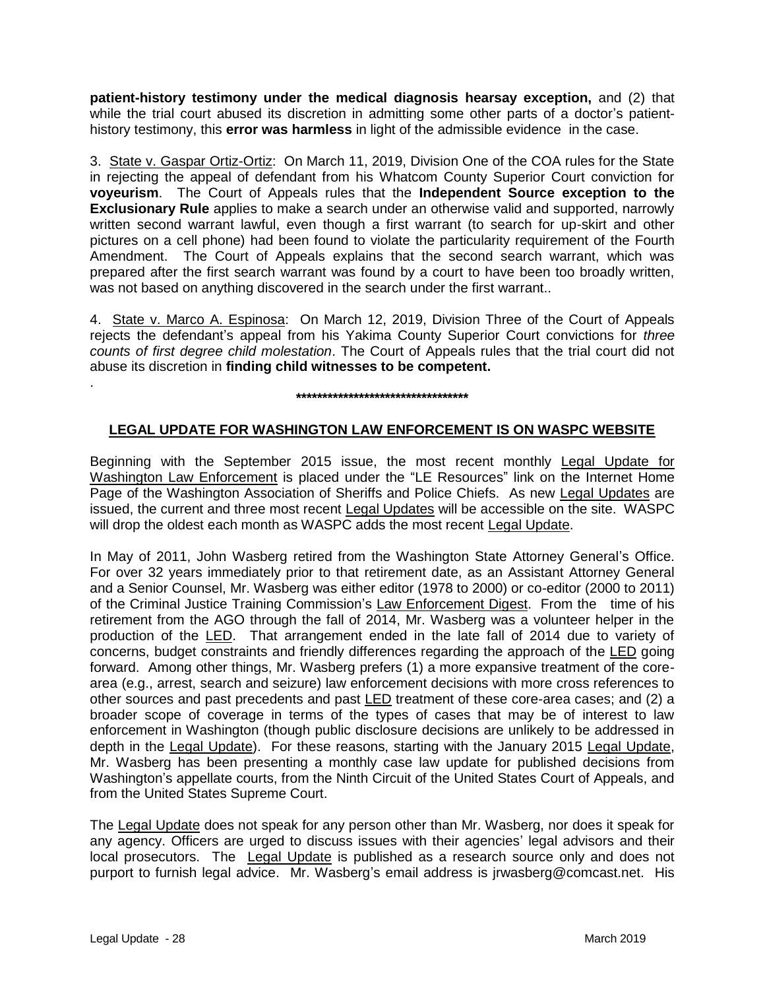**patient-history testimony under the medical diagnosis hearsay exception,** and (2) that while the trial court abused its discretion in admitting some other parts of a doctor's patienthistory testimony, this **error was harmless** in light of the admissible evidence in the case.

3. State v. Gaspar Ortiz-Ortiz: On March 11, 2019, Division One of the COA rules for the State in rejecting the appeal of defendant from his Whatcom County Superior Court conviction for **voyeurism**. The Court of Appeals rules that the **Independent Source exception to the Exclusionary Rule** applies to make a search under an otherwise valid and supported, narrowly written second warrant lawful, even though a first warrant (to search for up-skirt and other pictures on a cell phone) had been found to violate the particularity requirement of the Fourth Amendment. The Court of Appeals explains that the second search warrant, which was prepared after the first search warrant was found by a court to have been too broadly written, was not based on anything discovered in the search under the first warrant..

4. State v. Marco A. Espinosa: On March 12, 2019, Division Three of the Court of Appeals rejects the defendant's appeal from his Yakima County Superior Court convictions for *three counts of first degree child molestation*. The Court of Appeals rules that the trial court did not abuse its discretion in **finding child witnesses to be competent.**

**\*\*\*\*\*\*\*\*\*\*\*\*\*\*\*\*\*\*\*\*\*\*\*\*\*\*\*\*\*\*\*\*\***

### **LEGAL UPDATE FOR WASHINGTON LAW ENFORCEMENT IS ON WASPC WEBSITE**

Beginning with the September 2015 issue, the most recent monthly Legal Update for Washington Law Enforcement is placed under the "LE Resources" link on the Internet Home Page of the Washington Association of Sheriffs and Police Chiefs. As new Legal Updates are issued, the current and three most recent Legal Updates will be accessible on the site. WASPC will drop the oldest each month as WASPC adds the most recent Legal Update.

In May of 2011, John Wasberg retired from the Washington State Attorney General's Office. For over 32 years immediately prior to that retirement date, as an Assistant Attorney General and a Senior Counsel, Mr. Wasberg was either editor (1978 to 2000) or co-editor (2000 to 2011) of the Criminal Justice Training Commission's Law Enforcement Digest. From the time of his retirement from the AGO through the fall of 2014, Mr. Wasberg was a volunteer helper in the production of the LED. That arrangement ended in the late fall of 2014 due to variety of concerns, budget constraints and friendly differences regarding the approach of the LED going forward. Among other things, Mr. Wasberg prefers (1) a more expansive treatment of the corearea (e.g., arrest, search and seizure) law enforcement decisions with more cross references to other sources and past precedents and past LED treatment of these core-area cases; and (2) a broader scope of coverage in terms of the types of cases that may be of interest to law enforcement in Washington (though public disclosure decisions are unlikely to be addressed in depth in the Legal Update). For these reasons, starting with the January 2015 Legal Update, Mr. Wasberg has been presenting a monthly case law update for published decisions from Washington's appellate courts, from the Ninth Circuit of the United States Court of Appeals, and from the United States Supreme Court.

The Legal Update does not speak for any person other than Mr. Wasberg, nor does it speak for any agency. Officers are urged to discuss issues with their agencies' legal advisors and their local prosecutors. The Legal Update is published as a research source only and does not purport to furnish legal advice. Mr. Wasberg's email address is jrwasberg@comcast.net. His

.